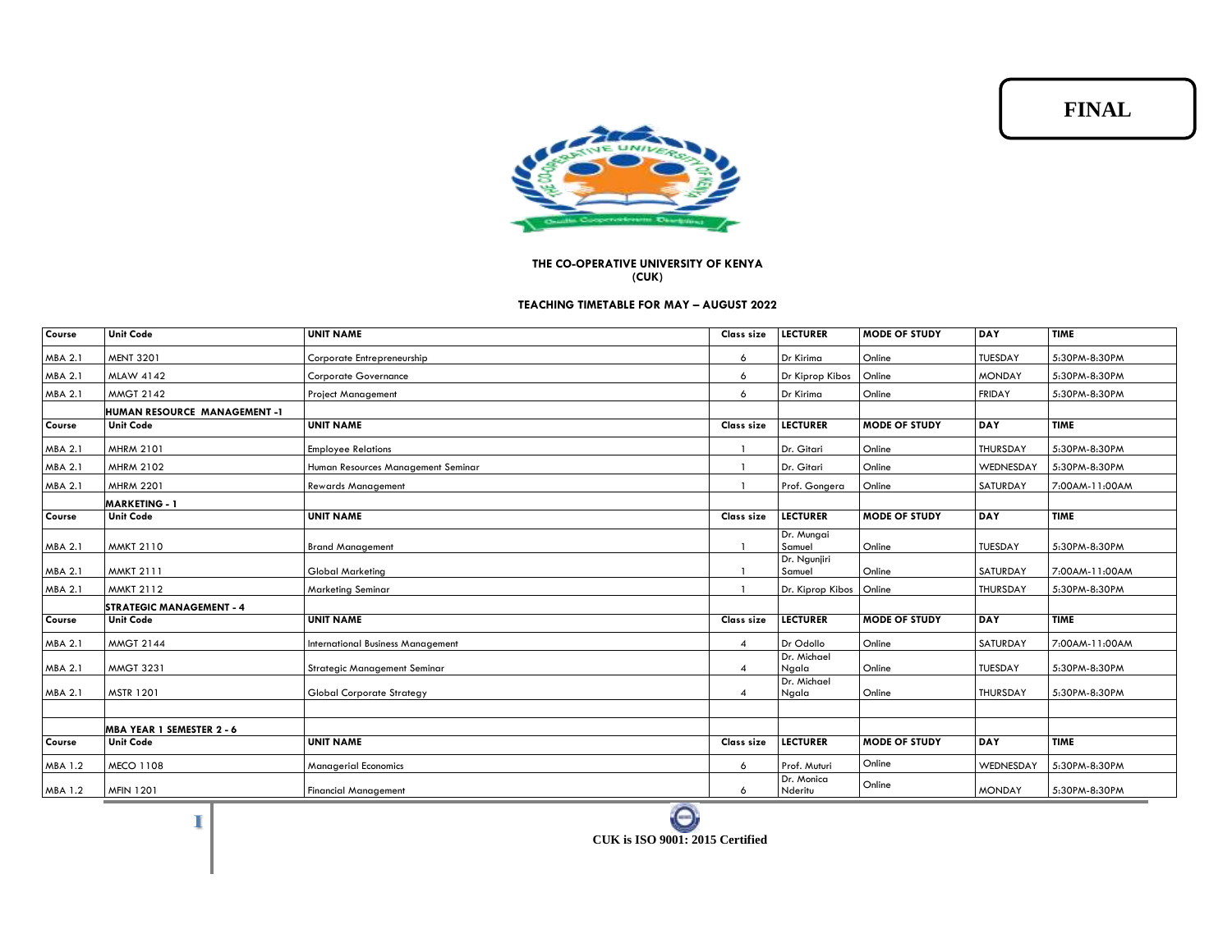**FINAL**



## **THE CO-OPERATIVE UNIVERSITY OF KENYA (CUK)**

## **TEACHING TIMETABLE FOR MAY – AUGUST 2022**

| Course         | <b>Unit Code</b>                    | <b>UNIT NAME</b>                         | <b>Class size</b> | <b>LECTURER</b>         | <b>MODE OF STUDY</b> | <b>DAY</b>      | <b>TIME</b>    |
|----------------|-------------------------------------|------------------------------------------|-------------------|-------------------------|----------------------|-----------------|----------------|
| MBA 2.1        | <b>MENT 3201</b>                    | Corporate Entrepreneurship               | 6                 | Dr Kirima               | Online               | TUESDAY         | 5:30PM-8:30PM  |
| MBA 2.1        | <b>MLAW 4142</b>                    | <b>Corporate Governance</b>              | 6                 | Dr Kiprop Kibos         | Online               | <b>MONDAY</b>   | 5:30PM-8:30PM  |
| MBA 2.1        | <b>MMGT 2142</b>                    | <b>Project Management</b>                | 6                 | Dr Kirima               | Online               | <b>FRIDAY</b>   | 5:30PM-8:30PM  |
|                | <b>HUMAN RESOURCE MANAGEMENT -1</b> |                                          |                   |                         |                      |                 |                |
| Course         | <b>Unit Code</b>                    | <b>UNIT NAME</b>                         | Class size        | <b>LECTURER</b>         | <b>MODE OF STUDY</b> | <b>DAY</b>      | <b>TIME</b>    |
| MBA 2.1        | <b>MHRM 2101</b>                    | <b>Employee Relations</b>                |                   | Dr. Gitari              | Online               | THURSDAY        | 5:30PM-8:30PM  |
| MBA 2.1        | <b>MHRM 2102</b>                    | Human Resources Management Seminar       |                   | Dr. Gitari              | Online               | WEDNESDAY       | 5:30PM-8:30PM  |
| MBA 2.1        | <b>MHRM 2201</b>                    | <b>Rewards Management</b>                |                   | Prof. Gongera           | Online               | SATURDAY        | 7:00AM-11:00AM |
|                | <b>MARKETING - 1</b>                |                                          |                   |                         |                      |                 |                |
| Course         | <b>Unit Code</b>                    | <b>UNIT NAME</b>                         | <b>Class size</b> | <b>LECTURER</b>         | <b>MODE OF STUDY</b> | DAY             | <b>TIME</b>    |
| MBA 2.1        | <b>MMKT 2110</b>                    | <b>Brand Management</b>                  |                   | Dr. Mungai<br>Samuel    | Online               | TUESDAY         | 5:30PM-8:30PM  |
| MBA 2.1        | <b>MMKT 2111</b>                    | <b>Global Marketing</b>                  |                   | Dr. Ngunjiri<br>Samuel  | Online               | SATURDAY        | 7:00AM-11:00AM |
| MBA 2.1        | <b>MMKT 2112</b>                    | Marketing Seminar                        |                   | Dr. Kiprop Kibos Online |                      | <b>THURSDAY</b> | 5:30PM-8:30PM  |
|                | <b>STRATEGIC MANAGEMENT - 4</b>     |                                          |                   |                         |                      |                 |                |
| Course         | <b>Unit Code</b>                    | <b>UNIT NAME</b>                         | Class size        | <b>LECTURER</b>         | <b>MODE OF STUDY</b> | <b>DAY</b>      | <b>TIME</b>    |
| MBA 2.1        | <b>MMGT 2144</b>                    | <b>International Business Management</b> | 4                 | Dr Odollo               | Online               | SATURDAY        | 7:00AM-11:00AM |
| MBA 2.1        | <b>MMGT 3231</b>                    | Strategic Management Seminar             | $\overline{4}$    | Dr. Michael<br>Ngala    | Online               | TUESDAY         | 5:30PM-8:30PM  |
| MBA 2.1        | <b>MSTR 1201</b>                    | <b>Global Corporate Strategy</b>         | 4                 | Dr. Michael<br>Ngala    | Online               | THURSDAY        | 5:30PM-8:30PM  |
|                |                                     |                                          |                   |                         |                      |                 |                |
|                | MBA YEAR 1 SEMESTER 2 - 6           |                                          |                   |                         |                      |                 |                |
| Course         | <b>Unit Code</b>                    | <b>UNIT NAME</b>                         | Class size        | <b>LECTURER</b>         | <b>MODE OF STUDY</b> | <b>DAY</b>      | <b>TIME</b>    |
| MBA 1.2        | <b>MECO 1108</b>                    | <b>Managerial Economics</b>              | 6                 | Prof. Muturi            | Online               | WEDNESDAY       | 5:30PM-8:30PM  |
| <b>MBA 1.2</b> | <b>MFIN 1201</b>                    | <b>Financial Management</b>              | 6                 | Dr. Monica<br>Nderitu   | Online               | <b>MONDAY</b>   | 5:30PM-8:30PM  |

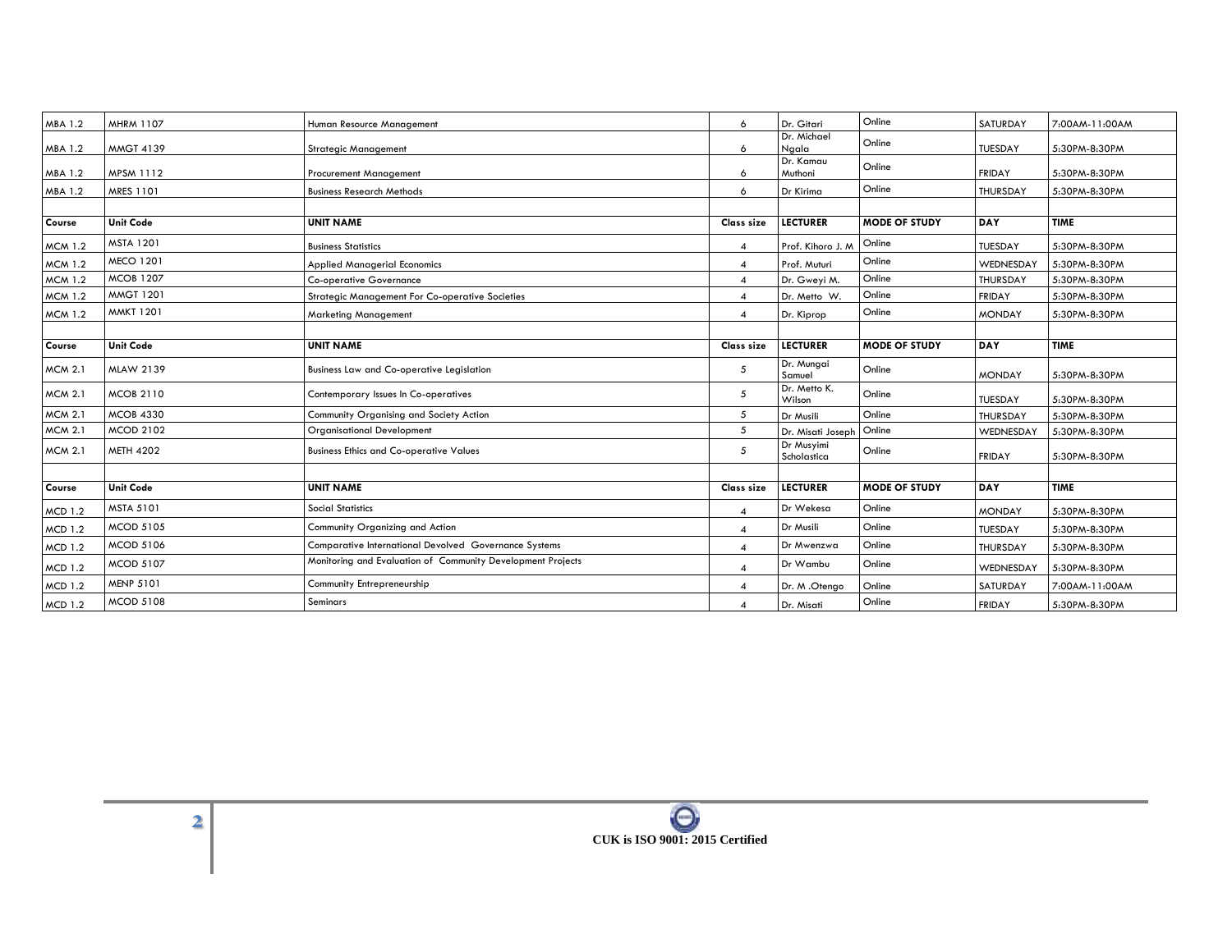| <b>MBA 1.2</b> | <b>MHRM 1107</b> | Human Resource Management                                   | 6                | Dr. Gitari                | Online               | SATURDAY       | 7:00AM-11:00AM |
|----------------|------------------|-------------------------------------------------------------|------------------|---------------------------|----------------------|----------------|----------------|
| MBA 1.2        | <b>MMGT 4139</b> | <b>Strategic Management</b>                                 | 6                | Dr. Michael<br>Ngala      | Online               | TUESDAY        | 5:30PM-8:30PM  |
|                |                  |                                                             |                  | Dr. Kamau                 | Online               |                |                |
| MBA 1.2        | <b>MPSM 1112</b> | Procurement Management                                      | 6                | Muthoni                   |                      | <b>FRIDAY</b>  | 5:30PM-8:30PM  |
| MBA 1.2        | MRES 1101        | <b>Business Research Methods</b>                            | 6                | Dr Kirima                 | Online               | THURSDAY       | 5:30PM-8:30PM  |
|                |                  |                                                             |                  |                           |                      |                |                |
| Course         | <b>Unit Code</b> | <b>UNIT NAME</b>                                            | Class size       | <b>LECTURER</b>           | <b>MODE OF STUDY</b> | <b>DAY</b>     | <b>TIME</b>    |
| <b>MCM 1.2</b> | <b>MSTA 1201</b> | <b>Business Statistics</b>                                  | $\overline{4}$   | Prof. Kihoro J. M         | Online               | TUESDAY        | 5:30PM-8:30PM  |
| <b>MCM 1.2</b> | <b>MECO 1201</b> | <b>Applied Managerial Economics</b>                         | $\overline{4}$   | Prof. Muturi              | Online               | WEDNESDAY      | 5:30PM-8:30PM  |
| <b>MCM 1.2</b> | <b>MCOB 1207</b> | <b>Co-operative Governance</b>                              | $\overline{4}$   | Dr. Gweyi M.              | Online               | THURSDAY       | 5:30PM-8:30PM  |
| <b>MCM 1.2</b> | <b>MMGT 1201</b> | <b>Strategic Management For Co-operative Societies</b>      | $\overline{4}$   | Dr. Metto W.              | Online               | <b>FRIDAY</b>  | 5:30PM-8:30PM  |
| <b>MCM 1.2</b> | <b>MMKT 1201</b> | <b>Marketing Management</b>                                 | 4                | Dr. Kiprop                | Online               | <b>MONDAY</b>  | 5:30PM-8:30PM  |
|                |                  |                                                             |                  |                           |                      |                |                |
| Course         | <b>Unit Code</b> | <b>UNIT NAME</b>                                            | Class size       | <b>LECTURER</b>           | <b>MODE OF STUDY</b> | DAY            | <b>TIME</b>    |
| <b>MCM 2.1</b> | <b>MLAW 2139</b> | <b>Business Law and Co-operative Legislation</b>            | 5                | Dr. Mungai<br>Samuel      | Online               | <b>MONDAY</b>  | 5:30PM-8:30PM  |
| <b>MCM 2.1</b> | <b>MCOB 2110</b> | Contemporary Issues In Co-operatives                        | 5                | Dr. Metto K.<br>Wilson    | Online               | <b>TUESDAY</b> | 5:30PM-8:30PM  |
| <b>MCM 2.1</b> | <b>MCOB 4330</b> | Community Organising and Society Action                     | $5\overline{5}$  | Dr Musili                 | Online               | THURSDAY       | 5:30PM-8:30PM  |
| <b>MCM 2.1</b> | <b>MCOD 2102</b> | <b>Organisational Development</b>                           | 5                | Dr. Misati Joseph         | Online               | WEDNESDAY      | 5:30PM-8:30PM  |
| <b>MCM 2.1</b> | <b>METH 4202</b> | <b>Business Ethics and Co-operative Values</b>              | 5                | Dr Musyimi<br>Scholastica | Online               | <b>FRIDAY</b>  | 5:30PM-8:30PM  |
|                |                  |                                                             |                  |                           |                      |                |                |
| Course         | <b>Unit Code</b> | <b>UNIT NAME</b>                                            | Class size       | <b>LECTURER</b>           | <b>MODE OF STUDY</b> | DAY            | <b>TIME</b>    |
| <b>MCD 1.2</b> | MSTA 5101        | <b>Social Statistics</b>                                    | $\boldsymbol{4}$ | Dr Wekesa                 | Online               | <b>MONDAY</b>  | 5:30PM-8:30PM  |
| <b>MCD 1.2</b> | MCOD 5105        | Community Organizing and Action                             | $\overline{4}$   | Dr Musili                 | Online               | <b>TUESDAY</b> | 5:30PM-8:30PM  |
| <b>MCD 1.2</b> | <b>MCOD 5106</b> | Comparative International Devolved Governance Systems       | $\overline{4}$   | Dr Mwenzwa                | Online               | THURSDAY       | 5:30PM-8:30PM  |
| <b>MCD 1.2</b> | <b>MCOD 5107</b> | Monitoring and Evaluation of Community Development Projects | $\overline{4}$   | Dr Wambu                  | Online               | WEDNESDAY      | 5:30PM-8:30PM  |
| <b>MCD 1.2</b> | <b>MENP 5101</b> | Community Entrepreneurship                                  | $\overline{4}$   | Dr. M.Otengo              | Online               | SATURDAY       | 7:00AM-11:00AM |
| <b>MCD 1.2</b> | <b>MCOD 5108</b> | <b>Seminars</b>                                             | $\overline{4}$   | Dr. Misati                | Online               | <b>FRIDAY</b>  | 5:30PM-8:30PM  |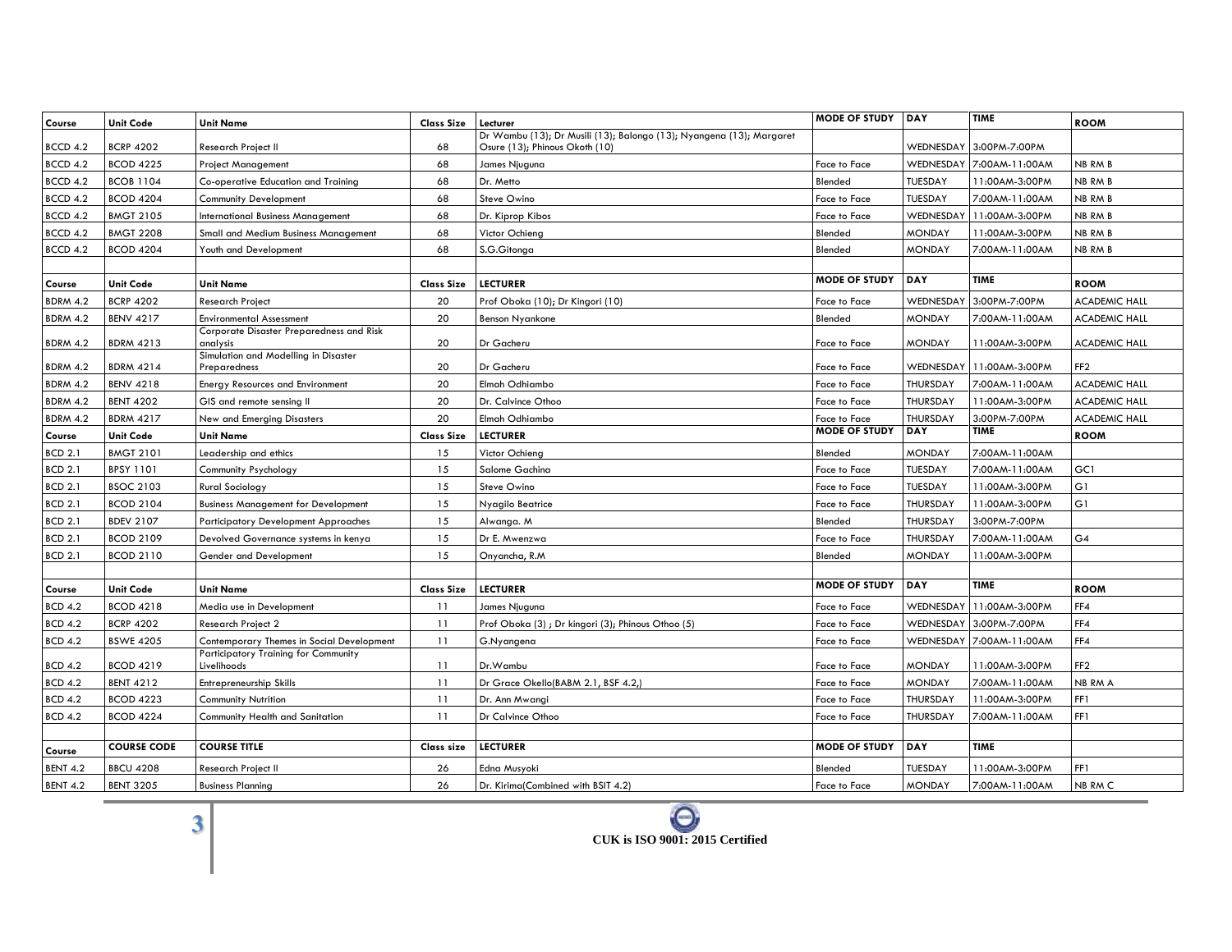| Course          | <b>Unit Code</b>   | <b>Unit Name</b>                                     | <b>Class Size</b> | Lecturer                                                                                               | <b>MODE OF STUDY</b> | <b>DAY</b>      | <b>TIME</b>    | <b>ROOM</b>          |
|-----------------|--------------------|------------------------------------------------------|-------------------|--------------------------------------------------------------------------------------------------------|----------------------|-----------------|----------------|----------------------|
| BCCD 4.2        | <b>BCRP 4202</b>   | Research Project II                                  | 68                | Dr Wambu (13); Dr Musili (13); Balongo (13); Nyangena (13); Margaret<br>Osure (13); Phinous Okoth (10) |                      | WEDNESDAY       | 3:00PM-7:00PM  |                      |
| BCCD 4.2        | <b>BCOD 4225</b>   | <b>Project Management</b>                            | 68                | James Njuguna                                                                                          | Face to Face         | WEDNESDAY       | 7:00AM-11:00AM | NB RM B              |
| <b>BCCD 4.2</b> | <b>BCOB 1104</b>   | Co-operative Education and Training                  | 68                | Dr. Metto                                                                                              | Blended              | <b>TUESDAY</b>  | 11:00AM-3:00PM | NB RM B              |
| <b>BCCD 4.2</b> | <b>BCOD 4204</b>   | <b>Community Development</b>                         | 68                | Steve Owino                                                                                            | Face to Face         | <b>TUESDAY</b>  | 7:00AM-11:00AM | NB RM B              |
| BCCD 4.2        | <b>BMGT 2105</b>   | <b>International Business Management</b>             | 68                | Dr. Kiprop Kibos                                                                                       | Face to Face         | WEDNESDAY       | 11:00AM-3:00PM | NB RM B              |
| BCCD 4.2        | <b>BMGT 2208</b>   | Small and Medium Business Management                 | 68                | Victor Ochieng                                                                                         | Blended              | <b>MONDAY</b>   | 11:00AM-3:00PM | NB RM B              |
| <b>BCCD 4.2</b> | <b>BCOD 4204</b>   | Youth and Development                                | 68                | S.G.Gitonga                                                                                            | Blended              | <b>MONDAY</b>   | 7:00AM-11:00AM | <b>NB RM B</b>       |
|                 |                    |                                                      |                   |                                                                                                        |                      |                 |                |                      |
| Course          | <b>Unit Code</b>   | <b>Unit Name</b>                                     | <b>Class Size</b> | <b>LECTURER</b>                                                                                        | <b>MODE OF STUDY</b> | DAY             | <b>TIME</b>    | <b>ROOM</b>          |
| <b>BDRM 4.2</b> | <b>BCRP 4202</b>   | <b>Research Project</b>                              | 20                | Prof Oboka (10); Dr Kingori (10)                                                                       | <b>Face to Face</b>  | WEDNESDAY       | 3:00PM-7:00PM  | <b>ACADEMIC HALL</b> |
| <b>BDRM 4.2</b> | <b>BENV 4217</b>   | <b>Environmental Assessment</b>                      | 20                | <b>Benson Nyankone</b>                                                                                 | Blended              | <b>MONDAY</b>   | 7:00AM-11:00AM | <b>ACADEMIC HALL</b> |
|                 |                    | Corporate Disaster Preparedness and Risk             |                   |                                                                                                        |                      |                 |                |                      |
| <b>BDRM 4.2</b> | <b>BDRM 4213</b>   | analysis                                             | 20                | Dr Gacheru                                                                                             | Face to Face         | <b>MONDAY</b>   | 11:00AM-3:00PM | <b>ACADEMIC HALI</b> |
| <b>BDRM 4.2</b> | <b>BDRM 4214</b>   | Simulation and Modelling in Disaster<br>Preparedness | 20                | Dr Gacheru                                                                                             | Face to Face         | WEDNESDAY       | 11:00AM-3:00PM | FF <sub>2</sub>      |
| <b>BDRM 4.2</b> | <b>BENV 4218</b>   | <b>Energy Resources and Environment</b>              | 20                | Elmah Odhiambo                                                                                         | Face to Face         | THURSDAY        | 7:00AM-11:00AM | <b>ACADEMIC HALL</b> |
| <b>BDRM 4.2</b> | <b>BENT 4202</b>   | GIS and remote sensing II                            | 20                | Dr. Calvince Othoo                                                                                     | Face to Face         | THURSDAY        | 11:00AM-3:00PM | <b>ACADEMIC HALL</b> |
| <b>BDRM 4.2</b> | <b>BDRM 4217</b>   | New and Emerging Disasters                           | 20                | Elmah Odhiambo                                                                                         | Face to Face         | THURSDAY        | 3:00PM-7:00PM  | <b>ACADEMIC HALL</b> |
| Course          | <b>Unit Code</b>   | <b>Unit Name</b>                                     | <b>Class Size</b> | <b>LECTURER</b>                                                                                        | <b>MODE OF STUDY</b> | <b>DAY</b>      | <b>TIME</b>    | <b>ROOM</b>          |
| <b>BCD 2.1</b>  | <b>BMGT 2101</b>   | Leadership and ethics                                | 15                | Victor Ochieng                                                                                         | Blended              | <b>MONDAY</b>   | 7:00AM-11:00AM |                      |
| <b>BCD 2.1</b>  | <b>BPSY 1101</b>   | Community Psychology                                 | 15                | Salome Gachina                                                                                         | Face to Face         | TUESDAY         | 7:00AM-11:00AM | GC1                  |
| <b>BCD 2.1</b>  | <b>BSOC 2103</b>   | <b>Rural Sociology</b>                               | 15                | Steve Owino                                                                                            | Face to Face         | TUESDAY         | 11:00AM-3:00PM | G1                   |
| <b>BCD 2.1</b>  | <b>BCOD 2104</b>   | <b>Business Management for Development</b>           | 15                | Nyagilo Beatrice                                                                                       | Face to Face         | <b>THURSDAY</b> | 11:00AM-3:00PM | G1                   |
| <b>BCD 2.1</b>  | <b>BDEV 2107</b>   | <b>Participatory Development Approaches</b>          | 15                | Alwanga. M                                                                                             | Blended              | THURSDAY        | 3:00PM-7:00PM  |                      |
| <b>BCD 2.1</b>  | <b>BCOD 2109</b>   | Devolved Governance systems in kenya                 | 15                | Dr E. Mwenzwa                                                                                          | Face to Face         | THURSDAY        | 7:00AM-11:00AM | G4                   |
| <b>BCD 2.1</b>  | <b>BCOD 2110</b>   | Gender and Development                               | 15                | Onyancha, R.M.                                                                                         | Blended              | <b>MONDAY</b>   | 11:00AM-3:00PM |                      |
|                 |                    |                                                      |                   |                                                                                                        |                      |                 |                |                      |
| Course          | Unit Code          | <b>Unit Name</b>                                     | <b>Class Size</b> | <b>LECTURER</b>                                                                                        | <b>MODE OF STUDY</b> | DAY             | <b>TIME</b>    | <b>ROOM</b>          |
| <b>BCD 4.2</b>  | <b>BCOD 4218</b>   | Media use in Development                             | 11                | James Njuguna                                                                                          | Face to Face         | WEDNESDAY       | 11:00AM-3:00PM | FF4                  |
| <b>BCD 4.2</b>  | <b>BCRP 4202</b>   | Research Project 2                                   | 11                | Prof Oboka (3); Dr kingori (3); Phinous Othoo (5)                                                      | Face to Face         | WEDNESDAY       | 3:00PM-7:00PM  | FF4                  |
| <b>BCD 4.2</b>  | <b>BSWE 4205</b>   | Contemporary Themes in Social Development            | 11                | G.Nyangena                                                                                             | Face to Face         | WEDNESDAY       | 7:00AM-11:00AM | FF4                  |
| <b>BCD 4.2</b>  | <b>BCOD 4219</b>   | Participatory Training for Community<br>Livelihoods  | 11                | Dr.Wambu                                                                                               | <b>Face to Face</b>  | <b>MONDAY</b>   | 11:00AM-3:00PM | FF <sub>2</sub>      |
| <b>BCD 4.2</b>  | <b>BENT 4212</b>   | Entrepreneurship Skills                              | 11                | Dr Grace Okello(BABM 2.1, BSF 4.2,)                                                                    | Face to Face         | <b>MONDAY</b>   | 7:00AM-11:00AM | <b>NB RM A</b>       |
| <b>BCD 4.2</b>  | <b>BCOD 4223</b>   | <b>Community Nutrition</b>                           | 11                | Dr. Ann Mwanai                                                                                         | Face to Face         | THURSDAY        | 11:00AM-3:00PM | FF1                  |
| <b>BCD 4.2</b>  | <b>BCOD 4224</b>   | Community Health and Sanitation                      | 11                | Dr Calvince Othoo                                                                                      | Face to Face         | THURSDAY        | 7:00AM-11:00AM | FF1                  |
|                 |                    |                                                      |                   |                                                                                                        |                      |                 |                |                      |
| Course          | <b>COURSE CODE</b> | <b>COURSE TITLE</b>                                  | Class size        | <b>LECTURER</b>                                                                                        | <b>MODE OF STUDY</b> | DAY             | <b>TIME</b>    |                      |
| <b>BENT 4.2</b> | <b>BBCU 4208</b>   | <b>Research Project II</b>                           | 26                | Edna Musyoki                                                                                           | Blended              | TUESDAY         | 11:00AM-3:00PM | FF1                  |
| <b>BENT 4.2</b> | <b>BENT 3205</b>   | <b>Business Planning</b>                             | 26                | Dr. Kirima(Combined with BSIT 4.2)                                                                     | Face to Face         | <b>MONDAY</b>   | 7:00AM-11:00AM | NB RM C              |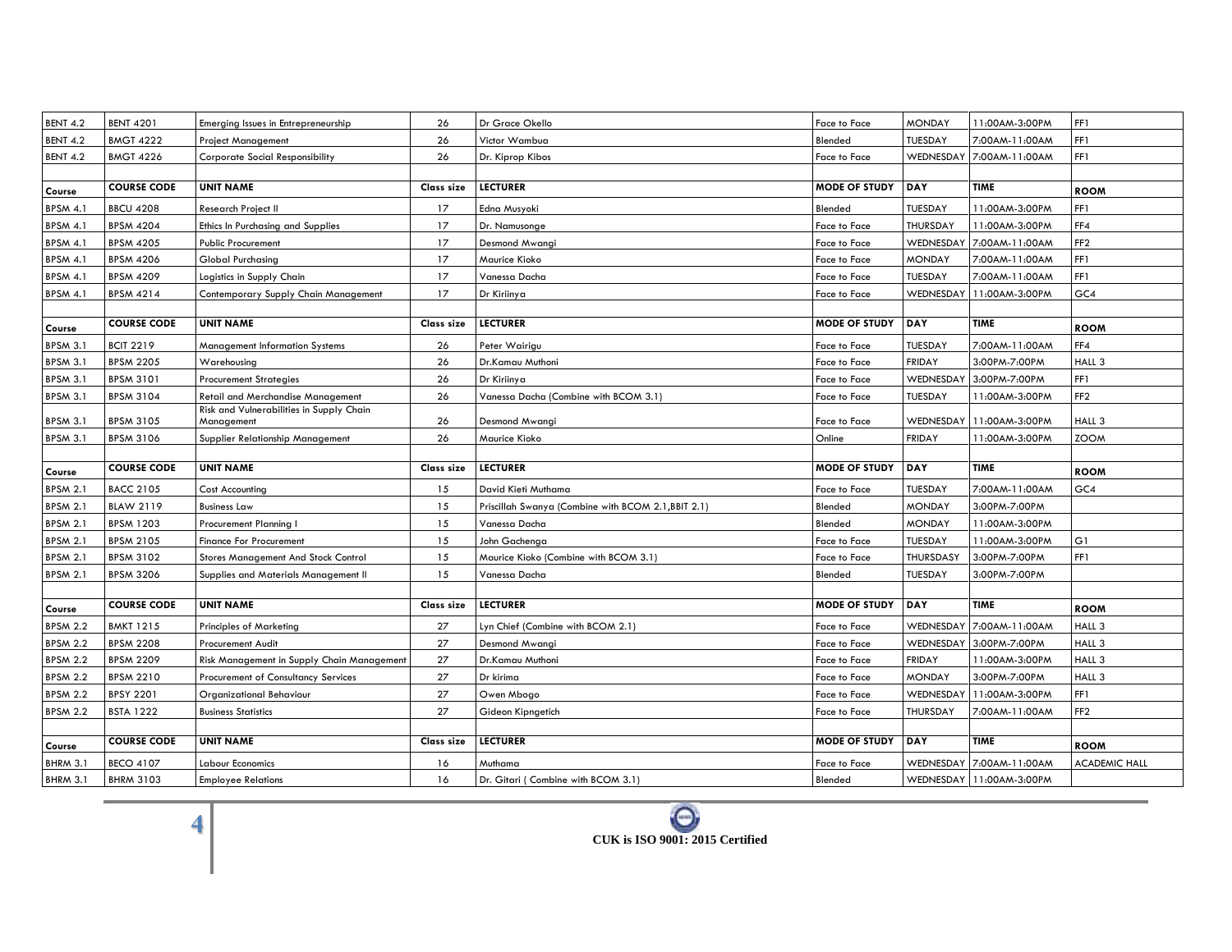| <b>BENT 4.2</b> | <b>BENT 4201</b>   | Emerging Issues in Entrepreneurship                    | 26                | Dr Grace Okello                                     | Face to Face         | <b>MONDAY</b> | 11:00AM-3:00PM           | FF1                  |
|-----------------|--------------------|--------------------------------------------------------|-------------------|-----------------------------------------------------|----------------------|---------------|--------------------------|----------------------|
| <b>BENT 4.2</b> | <b>BMGT 4222</b>   | <b>Project Management</b>                              | 26                | Victor Wambua                                       | Blended              | TUESDAY       | 7:00AM-11:00AM           | FF1                  |
| <b>BENT 4.2</b> | <b>BMGT 4226</b>   | <b>Corporate Social Responsibility</b>                 | 26                | Dr. Kiprop Kibos                                    | Face to Face         | WEDNESDAY     | 7:00AM-11:00AM           | FF1                  |
|                 |                    |                                                        |                   |                                                     |                      |               |                          |                      |
| Course          | <b>COURSE CODE</b> | <b>UNIT NAME</b>                                       | Class size        | <b>LECTURER</b>                                     | <b>MODE OF STUDY</b> | DAY           | <b>TIME</b>              | <b>ROOM</b>          |
| <b>BPSM 4.1</b> | <b>BBCU 4208</b>   | Research Project II                                    | 17                | Edna Musyoki                                        | Blended              | TUESDAY       | 11:00AM-3:00PM           | FF1                  |
| <b>BPSM 4.1</b> | <b>BPSM 4204</b>   | Ethics In Purchasing and Supplies                      | 17                | Dr. Namusonge                                       | Face to Face         | THURSDAY      | 11:00AM-3:00PM           | FF4                  |
| <b>BPSM 4.1</b> | <b>BPSM 4205</b>   | <b>Public Procurement</b>                              | 17                | Desmond Mwangi                                      | Face to Face         | WEDNESDAY     | 7:00AM-11:00AM           | FF <sub>2</sub>      |
| <b>BPSM 4.1</b> | <b>BPSM 4206</b>   | <b>Global Purchasing</b>                               | 17                | Maurice Kioko                                       | Face to Face         | <b>MONDAY</b> | 7:00AM-11:00AM           | FF1                  |
| <b>BPSM 4.1</b> | <b>BPSM 4209</b>   | Logistics in Supply Chain                              | 17                | Vanessa Dacha                                       | Face to Face         | TUESDAY       | 7:00AM-11:00AM           | FF1                  |
| <b>BPSM 4.1</b> | <b>BPSM 4214</b>   | Contemporary Supply Chain Management                   | 17                | Dr Kiriinya                                         | Face to Face         | WEDNESDAY     | 11:00AM-3:00PM           | GC4                  |
|                 |                    |                                                        |                   |                                                     |                      |               |                          |                      |
| Course          | <b>COURSE CODE</b> | <b>UNIT NAME</b>                                       | Class size        | <b>LECTURER</b>                                     | <b>MODE OF STUDY</b> | <b>DAY</b>    | <b>TIME</b>              | <b>ROOM</b>          |
| <b>BPSM 3.1</b> | <b>BCIT 2219</b>   | <b>Management Information Systems</b>                  | 26                | Peter Wairigu                                       | Face to Face         | TUESDAY       | 7:00AM-11:00AM           | FF4                  |
| BPSM 3.1        | <b>BPSM 2205</b>   | Warehousing                                            | 26                | Dr.Kamau Muthoni                                    | Face to Face         | <b>FRIDAY</b> | 3:00PM-7:00PM            | HALL 3               |
| BPSM 3.1        | <b>BPSM 3101</b>   | <b>Procurement Strategies</b>                          | 26                | Dr Kiriinya                                         | Face to Face         | WEDNESDAY     | 3:00PM-7:00PM            | FF1                  |
| <b>BPSM 3.1</b> | <b>BPSM 3104</b>   | <b>Retail and Merchandise Management</b>               | 26                | Vanessa Dacha (Combine with BCOM 3.1)               | Face to Face         | TUESDAY       | 11:00AM-3:00PM           | FF <sub>2</sub>      |
| <b>BPSM 3.1</b> | <b>BPSM 3105</b>   | Risk and Vulnerabilities in Supply Chain<br>Management | 26                | Desmond Mwangi                                      | Face to Face         | WEDNESDAY     | 11:00AM-3:00PM           | HALL 3               |
| <b>BPSM 3.1</b> | <b>BPSM 3106</b>   | Supplier Relationship Management                       | 26                | Maurice Kioko                                       | Online               | <b>FRIDAY</b> | 11:00AM-3:00PM           | <b>ZOOM</b>          |
|                 |                    |                                                        |                   |                                                     |                      |               |                          |                      |
|                 |                    |                                                        |                   |                                                     |                      |               |                          |                      |
| Course          | <b>COURSE CODE</b> | <b>UNIT NAME</b>                                       | <b>Class size</b> | <b>LECTURER</b>                                     | <b>MODE OF STUDY</b> | <b>DAY</b>    | <b>TIME</b>              | <b>ROOM</b>          |
| <b>BPSM 2.1</b> | <b>BACC 2105</b>   | <b>Cost Accounting</b>                                 | 15                | David Kieti Muthama                                 | Face to Face         | TUESDAY       | 7:00AM-11:00AM           | GC4                  |
| <b>BPSM 2.1</b> | <b>BLAW 2119</b>   | <b>Business Law</b>                                    | 15                | Priscillah Swanya (Combine with BCOM 2.1, BBIT 2.1) | Blended              | <b>MONDAY</b> | 3:00PM-7:00PM            |                      |
| <b>BPSM 2.1</b> | <b>BPSM 1203</b>   | Procurement Planning I                                 | 15                | Vanessa Dacha                                       | Blended              | <b>MONDAY</b> | 11:00AM-3:00PM           |                      |
| <b>BPSM 2.1</b> | <b>BPSM 2105</b>   | <b>Finance For Procurement</b>                         | 15                | John Gachenga                                       | Face to Face         | TUESDAY       | 11:00AM-3:00PM           | G1                   |
| <b>BPSM 2.1</b> | <b>BPSM 3102</b>   | <b>Stores Management And Stock Control</b>             | 15                | Maurice Kioko (Combine with BCOM 3.1)               | Face to Face         | THURSDASY     | 3:00PM-7:00PM            | FF1                  |
| <b>BPSM 2.1</b> | <b>BPSM 3206</b>   | Supplies and Materials Management II                   | 15                | Vanessa Dacha                                       | Blended              | TUESDAY       | 3:00PM-7:00PM            |                      |
|                 |                    |                                                        |                   |                                                     |                      |               |                          |                      |
| Course          | <b>COURSE CODE</b> | <b>UNIT NAME</b>                                       | Class size        | <b>LECTURER</b>                                     | <b>MODE OF STUDY</b> | <b>DAY</b>    | TIME                     | <b>ROOM</b>          |
| <b>BPSM 2.2</b> | <b>BMKT 1215</b>   | Principles of Marketing                                | 27                | Lyn Chief (Combine with BCOM 2.1)                   | Face to Face         | WEDNESDAY     | 7:00AM-11:00AM           | HALL 3               |
| <b>BPSM 2.2</b> | <b>BPSM 2208</b>   | <b>Procurement Audit</b>                               | 27                | Desmond Mwangi                                      | Face to Face         |               | WEDNESDAY 3:00PM-7:00PM  | HALL 3               |
| <b>BPSM 2.2</b> | <b>BPSM 2209</b>   | Risk Management in Supply Chain Management             | 27                | Dr.Kamau Muthoni                                    | Face to Face         | <b>FRIDAY</b> | 11:00AM-3:00PM           | HALL 3               |
| <b>BPSM 2.2</b> | <b>BPSM 2210</b>   | Procurement of Consultancy Services                    | 27                | Dr kirima                                           | Face to Face         | <b>MONDAY</b> | 3:00PM-7:00PM            | HALL 3               |
| <b>BPSM 2.2</b> | <b>BPSY 2201</b>   | Organizational Behaviour                               | 27                | Owen Mbogo                                          | Face to Face         | WEDNESDAY     | 11:00AM-3:00PM           | FF1                  |
| <b>BPSM 2.2</b> | <b>BSTA 1222</b>   | <b>Business Statistics</b>                             | 27                | Gideon Kipngetich                                   | Face to Face         | THURSDAY      | 7:00AM-11:00AM           | FF <sub>2</sub>      |
|                 |                    |                                                        |                   |                                                     |                      |               |                          |                      |
| Course          | <b>COURSE CODE</b> | <b>UNIT NAME</b>                                       | Class size        | <b>LECTURER</b>                                     | <b>MODE OF STUDY</b> | <b>DAY</b>    | <b>TIME</b>              | <b>ROOM</b>          |
| BHRM 3.1        | <b>BECO 4107</b>   | Labour Economics                                       | 16                | Muthama                                             | Face to Face         |               | WEDNESDAY 7:00AM-11:00AM | <b>ACADEMIC HALL</b> |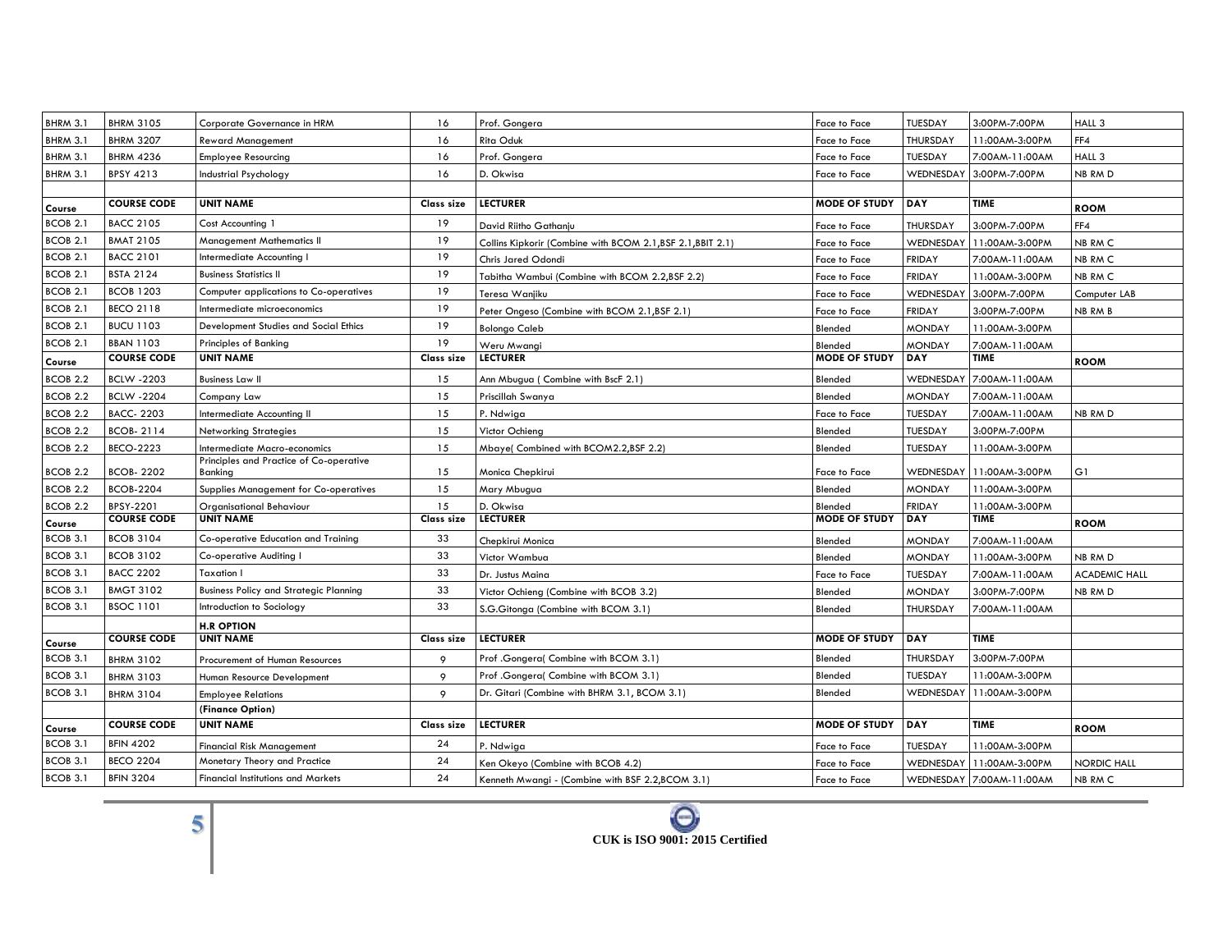| BHRM 3.1            | <b>BHRM 3105</b>   | Corporate Governance in HRM                        | 16         | Prof. Gongera                                               | Face to Face         | TUESDAY          | 3:00PM-7:00PM            | HALL 3               |
|---------------------|--------------------|----------------------------------------------------|------------|-------------------------------------------------------------|----------------------|------------------|--------------------------|----------------------|
| BHRM 3.1            | <b>BHRM 3207</b>   | <b>Reward Management</b>                           | 16         | Rita Oduk                                                   | Face to Face         | THURSDAY         | 11:00AM-3:00PM           | FF4                  |
| BHRM 3.1            | <b>BHRM 4236</b>   | <b>Employee Resourcing</b>                         | 16         | Prof. Gongera                                               | Face to Face         | TUESDAY          | 7:00AM-11:00AM           | HALL 3               |
| BHRM 3.1            | BPSY 4213          | Industrial Psychology                              | 16         | D. Okwisa                                                   | Face to Face         | WEDNESDAY        | 3:00PM-7:00PM            | NB RM D              |
|                     |                    |                                                    |            |                                                             |                      |                  |                          |                      |
| Course              | <b>COURSE CODE</b> | <b>UNIT NAME</b>                                   | Class size | <b>LECTURER</b>                                             | <b>MODE OF STUDY</b> | <b>DAY</b>       | <b>TIME</b>              | <b>ROOM</b>          |
| <b>BCOB 2.1</b>     | <b>BACC 2105</b>   | Cost Accounting 1                                  | 19         | David Riitho Gathanju                                       | Face to Face         | THURSDAY         | 3:00PM-7:00PM            | FF4                  |
| BCOB 2.1            | <b>BMAT 2105</b>   | <b>Management Mathematics II</b>                   | 19         | Collins Kipkorir (Combine with BCOM 2.1, BSF 2.1, BBIT 2.1) | Face to Face         | WEDNESDAY        | 11:00AM-3:00PM           | NB RM C              |
| <b>BCOB 2.1</b>     | <b>BACC 2101</b>   | Intermediate Accounting I                          | 19         | Chris Jared Odondi                                          | Face to Face         | <b>FRIDAY</b>    | 7:00AM-11:00AM           | NB RM C              |
| <b>BCOB 2.1</b>     | <b>BSTA 2124</b>   | <b>Business Statistics II</b>                      | 19         | Tabitha Wambui (Combine with BCOM 2.2, BSF 2.2)             | Face to Face         | <b>FRIDAY</b>    | 11:00AM-3:00PM           | NB RM C              |
| BCOB 2.1            | <b>BCOB 1203</b>   | Computer applications to Co-operatives             | 19         | Teresa Wanjiku                                              | Face to Face         | WEDNESDAY        | 3:00PM-7:00PM            | Computer LAB         |
| <b>BCOB 2.1</b>     | <b>BECO 2118</b>   | Intermediate microeconomics                        | 19         | Peter Ongeso (Combine with BCOM 2.1, BSF 2.1)               | Face to Face         | <b>FRIDAY</b>    | 3:00PM-7:00PM            | NB RM B              |
| <b>BCOB 2.1</b>     | <b>BUCU 1103</b>   | Development Studies and Social Ethics              | 19         | <b>Bolongo Caleb</b>                                        | Blended              | <b>MONDAY</b>    | 11:00AM-3:00PM           |                      |
| <b>BCOB 2.1</b>     | <b>BBAN 1103</b>   | Principles of Banking                              | 19         | Weru Mwangi                                                 | Blended              | <b>MONDAY</b>    | 7:00AM-11:00AM           |                      |
| Course              | <b>COURSE CODE</b> | <b>UNIT NAME</b>                                   | Class size | <b>LECTURER</b>                                             | <b>MODE OF STUDY</b> | DAY              | <b>TIME</b>              | <b>ROOM</b>          |
| BCOB <sub>2.2</sub> | <b>BCLW -2203</b>  | <b>Business Law II</b>                             | 15         | Ann Mbugua (Combine with BscF 2.1)                          | Blended              | WEDNESDA'        | 7:00AM-11:00AM           |                      |
| BCOB <sub>2.2</sub> | <b>BCLW -2204</b>  | Company Law                                        | 15         | Priscillah Swanya                                           | Blended              | <b>MONDAY</b>    | 7:00AM-11:00AM           |                      |
| BCOB <sub>2.2</sub> | <b>BACC-2203</b>   | Intermediate Accounting II                         | 15         | P. Ndwiga                                                   | Face to Face         | TUESDAY          | 7:00AM-11:00AM           | NB RM D              |
| BCOB <sub>2.2</sub> | BCOB-2114          | <b>Networking Strategies</b>                       | 15         | Victor Ochieng                                              | Blended              | TUESDAY          | 3:00PM-7:00PM            |                      |
| <b>BCOB 2.2</b>     | <b>BECO-2223</b>   | Intermediate Macro-economics                       | 15         | Mbaye(Combined with BCOM2.2,BSF 2.2)                        | Blended              | TUESDAY          | 11:00AM-3:00PM           |                      |
| <b>BCOB 2.2</b>     | <b>BCOB-2202</b>   | Principles and Practice of Co-operative<br>Banking | 15         | Monica Chepkirui                                            | Face to Face         | WEDNESDAY        | 11:00AM-3:00PM           | G1                   |
| BCOB <sub>2.2</sub> | <b>BCOB-2204</b>   | <b>Supplies Management for Co-operatives</b>       | 15         | Mary Mbugua                                                 | Blended              | <b>MONDAY</b>    | 11:00AM-3:00PM           |                      |
| <b>BCOB 2.2</b>     | BPSY-2201          | Organisational Behaviour                           | 15         | D. Okwisa                                                   | Blended              | <b>FRIDAY</b>    | 11:00AM-3:00PM           |                      |
| Course              | <b>COURSE CODE</b> | <b>UNIT NAME</b>                                   | Class size | <b>LECTURER</b>                                             | <b>MODE OF STUDY</b> | DAY              | TIME                     | <b>ROOM</b>          |
| BCOB 3.1            | <b>BCOB 3104</b>   | Co-operative Education and Training                | 33         | Chepkirui Monica                                            | Blended              | <b>MONDAY</b>    | 7:00AM-11:00AM           |                      |
| BCOB 3.1            | <b>BCOB 3102</b>   | Co-operative Auditing I                            | 33         | Victor Wambua                                               | Blended              | <b>MONDAY</b>    | 11:00AM-3:00PM           | NB RM D              |
| BCOB 3.1            | <b>BACC 2202</b>   | <b>Taxation I</b>                                  | 33         | Dr. Justus Maina                                            | Face to Face         | TUESDAY          | 7:00AM-11:00AM           | <b>ACADEMIC HALL</b> |
| BCOB 3.1            | <b>BMGT 3102</b>   | <b>Business Policy and Strategic Planning</b>      | 33         | Victor Ochieng (Combine with BCOB 3.2)                      | Blended              | <b>MONDAY</b>    | 3:00PM-7:00PM            | NB RM D              |
| BCOB 3.1            | <b>BSOC 1101</b>   | Introduction to Sociology                          | 33         | S.G.Gitonga (Combine with BCOM 3.1)                         | Blended              | THURSDAY         | 7:00AM-11:00AM           |                      |
|                     |                    | <b>H.R OPTION</b>                                  |            |                                                             |                      |                  |                          |                      |
| Course              | <b>COURSE CODE</b> | <b>UNIT NAME</b>                                   | Class size | <b>LECTURER</b>                                             | <b>MODE OF STUDY</b> | <b>DAY</b>       | <b>TIME</b>              |                      |
| <b>BCOB 3.1</b>     | <b>BHRM 3102</b>   | Procurement of Human Resources                     | 9          | Prof .Gongera( Combine with BCOM 3.1)                       | Blended              | THURSDAY         | 3:00PM-7:00PM            |                      |
| <b>BCOB 3.1</b>     | <b>BHRM 3103</b>   | Human Resource Development                         | 9          | Prof .Gongera( Combine with BCOM 3.1)                       | Blended              | TUESDAY          | 11:00AM-3:00PM           |                      |
| <b>BCOB 3.1</b>     | <b>BHRM 3104</b>   | <b>Employee Relations</b>                          | 9          | Dr. Gitari (Combine with BHRM 3.1, BCOM 3.1)                | Blended              | <b>WEDNESDAY</b> | 11:00AM-3:00PM           |                      |
|                     |                    | (Finance Option)                                   |            |                                                             |                      |                  |                          |                      |
| Course              | <b>COURSE CODE</b> | <b>UNIT NAME</b>                                   | Class size | <b>LECTURER</b>                                             | MODE OF STUDY        | DAY              | <b>TIME</b>              | <b>ROOM</b>          |
| <b>BCOB 3.1</b>     | <b>BFIN 4202</b>   | <b>Financial Risk Management</b>                   | 24         | P. Ndwiga                                                   | Face to Face         | TUESDAY          | 11:00AM-3:00PM           |                      |
| BCOB 3.1            | <b>BECO 2204</b>   | Monetary Theory and Practice                       | 24         | Ken Okeyo (Combine with BCOB 4.2)                           | Face to Face         | WEDNESDAY        | 11:00AM-3:00PM           | <b>NORDIC HALL</b>   |
| BCOB 3.1            | <b>BFIN 3204</b>   | <b>Financial Institutions and Markets</b>          | 24         | Kenneth Mwangi - (Combine with BSF 2.2,BCOM 3.1)            | Face to Face         |                  | WEDNESDAY 7:00AM-11:00AM | NB RM C              |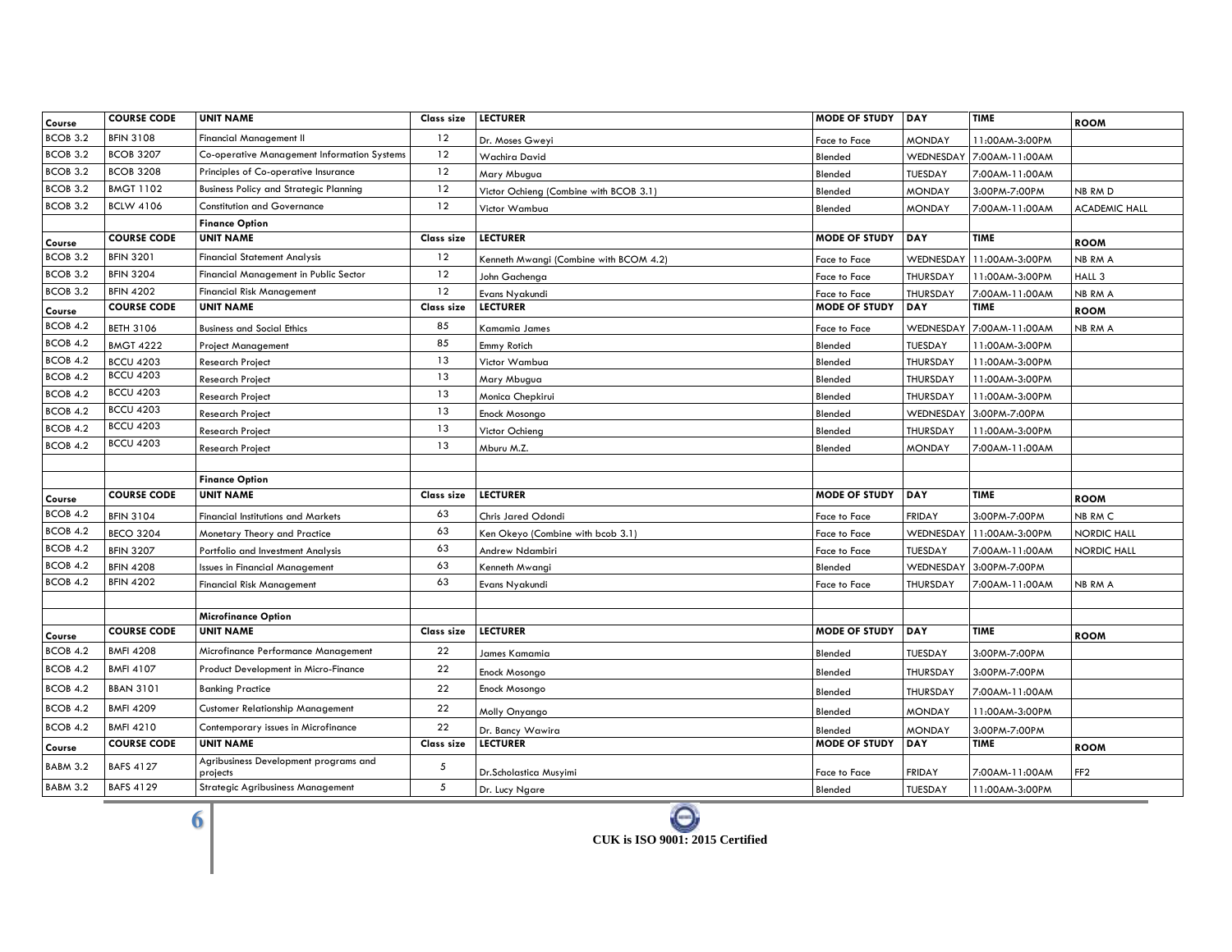| Course          | <b>COURSE CODE</b> | <b>UNIT NAME</b>                                  | <b>Class size</b> | <b>LECTURER</b>                        | <b>MODE OF STUDY DAY</b> |                  | <b>TIME</b>    | <b>ROOM</b>          |
|-----------------|--------------------|---------------------------------------------------|-------------------|----------------------------------------|--------------------------|------------------|----------------|----------------------|
| BCOB 3.2        | <b>BFIN 3108</b>   | <b>Financial Management II</b>                    | 12                | Dr. Moses Gweyi                        | Face to Face             | <b>MONDAY</b>    | 11:00AM-3:00PM |                      |
| <b>BCOB 3.2</b> | <b>BCOB 3207</b>   | Co-operative Management Information Systems       | 12                | Wachira David                          | Blended                  | WEDNESDAY        | 7:00AM-11:00AM |                      |
| <b>BCOB 3.2</b> | <b>BCOB 3208</b>   | Principles of Co-operative Insurance              | 12                | Mary Mbugua                            | Blended                  | TUESDAY          | 7:00AM-11:00AM |                      |
| BCOB 3.2        | <b>BMGT 1102</b>   | <b>Business Policy and Strategic Planning</b>     | 12                | Victor Ochieng (Combine with BCOB 3.1) | Blended                  | <b>MONDAY</b>    | 3:00PM-7:00PM  | NB RM D              |
| <b>BCOB 3.2</b> | <b>BCLW 4106</b>   | <b>Constitution and Governance</b>                | 12                | Victor Wambua                          | Blended                  | <b>MONDAY</b>    | 7:00AM-11:00AM | <b>ACADEMIC HALL</b> |
|                 |                    | <b>Finance Option</b>                             |                   |                                        |                          |                  |                |                      |
| Course          | <b>COURSE CODE</b> | <b>UNIT NAME</b>                                  | Class size        | <b>LECTURER</b>                        | <b>MODE OF STUDY</b>     | DAY              | <b>TIME</b>    | <b>ROOM</b>          |
| BCOB 3.2        | <b>BFIN 3201</b>   | <b>Financial Statement Analysis</b>               | 12                | Kenneth Mwangi (Combine with BCOM 4.2) | Face to Face             | <b>WEDNESDAY</b> | 11:00AM-3:00PM | NB RM A              |
| <b>BCOB 3.2</b> | <b>BFIN 3204</b>   | Financial Management in Public Sector             | 12                | John Gachenga                          | Face to Face             | <b>THURSDAY</b>  | 11:00AM-3:00PM | HALL 3               |
| BCOB 3.2        | <b>BFIN 4202</b>   | <b>Financial Risk Management</b>                  | 12                | Evans Nyakundi                         | Face to Face             | THURSDAY         | 7:00AM-11:00AM | NB RM A              |
| Course          | <b>COURSE CODE</b> | <b>UNIT NAME</b>                                  | Class size        | <b>LECTURER</b>                        | <b>MODE OF STUDY</b>     | DAY              | <b>TIME</b>    | <b>ROOM</b>          |
| BCOB 4.2        | <b>BETH 3106</b>   | <b>Business and Social Ethics</b>                 | 85                | Kamamia James                          | Face to Face             | <b>WEDNESDAY</b> | 7:00AM-11:00AM | NB RM A              |
| <b>BCOB 4.2</b> | <b>BMGT 4222</b>   | <b>Project Management</b>                         | 85                | Emmy Rotich                            | Blended                  | TUESDAY          | 11:00AM-3:00PM |                      |
| BCOB 4.2        | <b>BCCU 4203</b>   | <b>Research Project</b>                           | 13                | Victor Wambua                          | Blended                  | THURSDAY         | 11:00AM-3:00PM |                      |
| BCOB 4.2        | <b>BCCU 4203</b>   | Research Project                                  | 13                | Mary Mbugua                            | Blended                  | THURSDAY         | 11:00AM-3:00PM |                      |
| BCOB 4.2        | <b>BCCU 4203</b>   | Research Project                                  | 13                | Monica Chepkirui                       | Blended                  | THURSDAY         | 11:00AM-3:00PM |                      |
| <b>BCOB 4.2</b> | <b>BCCU 4203</b>   | Research Project                                  | 13                | Enock Mosongo                          | Blended                  | WEDNESDAY        | 3:00PM-7:00PM  |                      |
| BCOB 4.2        | <b>BCCU 4203</b>   | <b>Research Project</b>                           | 13                | Victor Ochieng                         | Blended                  | THURSDAY         | 11:00AM-3:00PM |                      |
| <b>BCOB 4.2</b> | <b>BCCU 4203</b>   | <b>Research Project</b>                           | 13                | Mburu M.Z.                             | Blended                  | <b>MONDAY</b>    | 7:00AM-11:00AM |                      |
|                 |                    |                                                   |                   |                                        |                          |                  |                |                      |
|                 |                    | <b>Finance Option</b>                             |                   |                                        |                          |                  |                |                      |
| Course          | <b>COURSE CODE</b> | <b>UNIT NAME</b>                                  | Class size        | <b>LECTURER</b>                        | <b>MODE OF STUDY</b>     | DAY              | <b>TIME</b>    | <b>ROOM</b>          |
| BCOB 4.2        | <b>BFIN 3104</b>   | <b>Financial Institutions and Markets</b>         | 63                | Chris Jared Odondi                     | Face to Face             | <b>FRIDAY</b>    | 3:00PM-7:00PM  | NB RM C              |
| <b>BCOB 4.2</b> | <b>BECO 3204</b>   | Monetary Theory and Practice                      | 63                | Ken Okeyo (Combine with bcob 3.1)      | Face to Face             | WEDNESDAY        | 11:00AM-3:00PM | <b>NORDIC HALL</b>   |
| <b>BCOB 4.2</b> | <b>BFIN 3207</b>   | Portfolio and Investment Analysis                 | 63                | Andrew Ndambiri                        | Face to Face             | <b>TUESDAY</b>   | 7:00AM-11:00AM | <b>NORDIC HALL</b>   |
| <b>BCOB 4.2</b> | <b>BFIN 4208</b>   | <b>Issues in Financial Management</b>             | 63                | Kenneth Mwangi                         | Blended                  | <b>WEDNESDAY</b> | 3:00PM-7:00PM  |                      |
| <b>BCOB 4.2</b> | <b>BFIN 4202</b>   | <b>Financial Risk Management</b>                  | 63                | Evans Nyakundi                         | Face to Face             | THURSDAY         | 7:00AM-11:00AM | NB RM A              |
|                 |                    |                                                   |                   |                                        |                          |                  |                |                      |
|                 |                    | <b>Microfinance Option</b>                        |                   |                                        |                          |                  |                |                      |
| Course          | <b>COURSE CODE</b> | <b>UNIT NAME</b>                                  | Class size        | <b>LECTURER</b>                        | <b>MODE OF STUDY</b>     | DAY              | <b>TIME</b>    | <b>ROOM</b>          |
| BCOB 4.2        | <b>BMFI 4208</b>   | Microfinance Performance Management               | 22                | James Kamamia                          | Blended                  | <b>TUESDAY</b>   | 3:00PM-7:00PM  |                      |
| <b>BCOB 4.2</b> | <b>BMFI 4107</b>   | Product Development in Micro-Finance              | 22                | Enock Mosongo                          | Blended                  | THURSDAY         | 3:00PM-7:00PM  |                      |
| <b>BCOB 4.2</b> | <b>BBAN 3101</b>   | <b>Banking Practice</b>                           | 22                | Enock Mosongo                          | Blended                  | THURSDAY         | 7:00AM-11:00AM |                      |
| <b>BCOB 4.2</b> | <b>BMFI 4209</b>   | Customer Relationship Management                  | 22                | Molly Onyango                          | Blended                  | <b>MONDAY</b>    | 11:00AM-3:00PM |                      |
| BCOB 4.2        | <b>BMFI 4210</b>   | Contemporary issues in Microfinance               | 22                | Dr. Bancy Wawira                       | Blended                  | <b>MONDAY</b>    | 3:00PM-7:00PM  |                      |
| Course          | <b>COURSE CODE</b> | <b>UNIT NAME</b>                                  | Class size        | <b>LECTURER</b>                        | <b>MODE OF STUDY</b>     | DAY              | <b>TIME</b>    | <b>ROOM</b>          |
| BABM 3.2        | <b>BAFS 4127</b>   | Agribusiness Development programs and<br>projects | 5                 | Dr.Scholastica Musyimi                 | Face to Face             | <b>FRIDAY</b>    | 7:00AM-11:00AM | FF <sub>2</sub>      |
| BABM 3.2        | <b>BAFS 4129</b>   | <b>Strategic Agribusiness Management</b>          | 5                 | Dr. Lucy Ngare                         | Blended                  | TUESDAY          | 11:00AM-3:00PM |                      |
|                 |                    |                                                   |                   |                                        |                          |                  |                |                      |

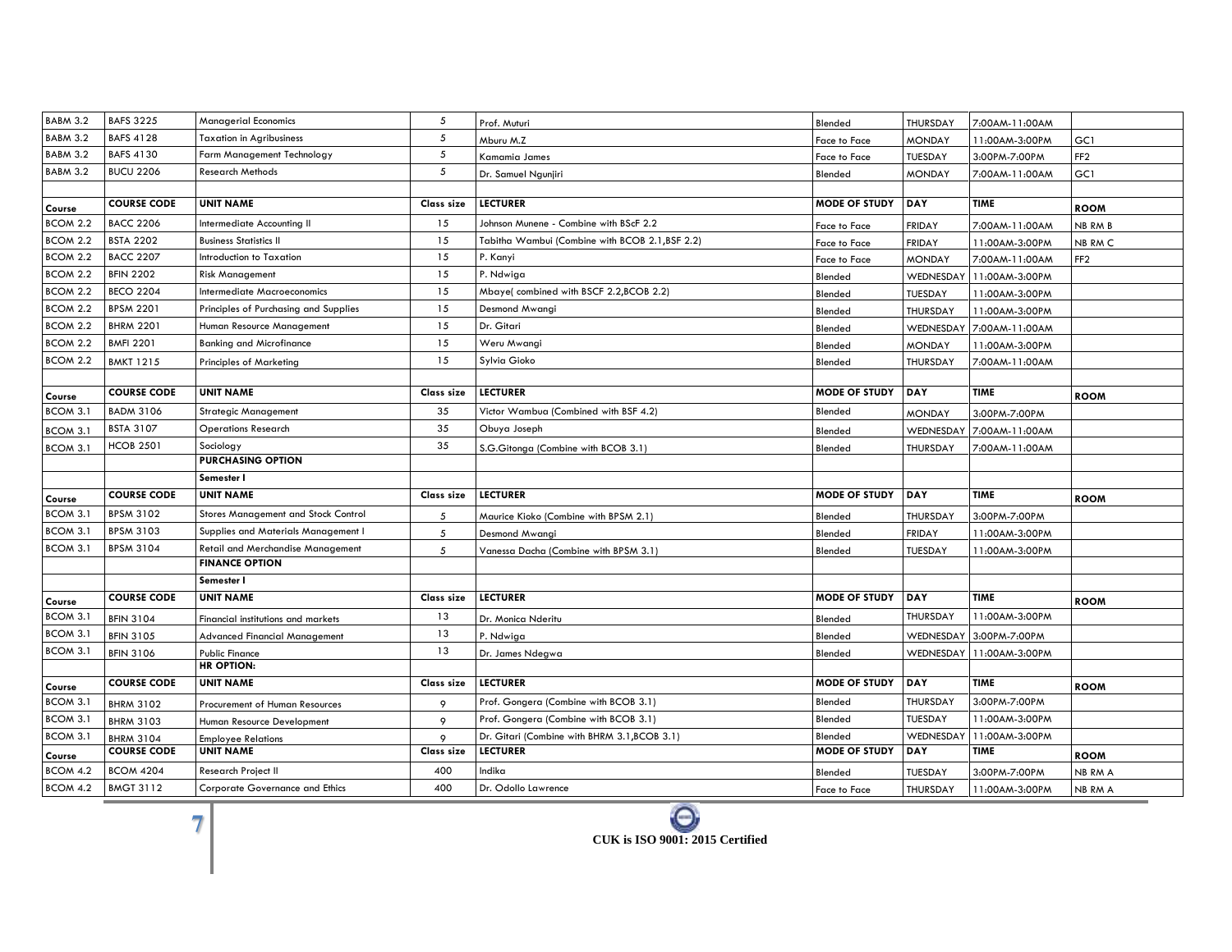| <b>BABM 3.2</b> | <b>BAFS 3225</b>   | <b>Managerial Economics</b>              | 5          | Prof. Muturi                                    | Blended              | THURSDAY         | 7:00AM-11:00AM |                 |
|-----------------|--------------------|------------------------------------------|------------|-------------------------------------------------|----------------------|------------------|----------------|-----------------|
| BABM 3.2        | <b>BAFS 4128</b>   | <b>Taxation in Agribusiness</b>          | 5          | Mburu M.Z                                       | Face to Face         | <b>MONDAY</b>    | 11:00AM-3:00PM | GC1             |
| BABM 3.2        | <b>BAFS 4130</b>   | Farm Management Technology               | 5          | Kamamia James                                   | Face to Face         | <b>TUESDAY</b>   | 3:00PM-7:00PM  | FF <sub>2</sub> |
| <b>BABM 3.2</b> | <b>BUCU 2206</b>   | Research Methods                         | 5          | Dr. Samuel Ngunjiri                             | Blended              | <b>MONDAY</b>    | 7:00AM-11:00AM | GC1             |
|                 |                    |                                          |            |                                                 |                      |                  |                |                 |
| Course          | <b>COURSE CODE</b> | <b>UNIT NAME</b>                         | Class size | <b>LECTURER</b>                                 | <b>MODE OF STUDY</b> | <b>DAY</b>       | <b>TIME</b>    | <b>ROOM</b>     |
| <b>BCOM 2.2</b> | <b>BACC 2206</b>   | Intermediate Accounting II               | 15         | Johnson Munene - Combine with BScF 2.2          | Face to Face         | <b>FRIDAY</b>    | 7:00AM-11:00AM | NB RM B         |
| BCOM 2.2        | <b>BSTA 2202</b>   | <b>Business Statistics II</b>            | 15         | Tabitha Wambui (Combine with BCOB 2.1, BSF 2.2) | Face to Face         | <b>FRIDAY</b>    | 11:00AM-3:00PM | NB RM C         |
| <b>BCOM 2.2</b> | <b>BACC 2207</b>   | Introduction to Taxation                 | 15         | P. Kanyi                                        | Face to Face         | <b>MONDAY</b>    | 7:00AM-11:00AM | FF <sub>2</sub> |
| BCOM 2.2        | <b>BFIN 2202</b>   | <b>Risk Management</b>                   | 15         | P. Ndwiga                                       | Blended              | WEDNESDAY        | 11:00AM-3:00PM |                 |
| BCOM 2.2        | <b>BECO 2204</b>   | <b>Intermediate Macroeconomics</b>       | 15         | Mbaye(combined with BSCF 2.2,BCOB 2.2)          | Blended              | TUESDAY          | 11:00AM-3:00PM |                 |
| BCOM 2.2        | <b>BPSM 2201</b>   | Principles of Purchasing and Supplies    | 15         | Desmond Mwangi                                  | Blended              | THURSDAY         | 11:00AM-3:00PM |                 |
| BCOM 2.2        | <b>BHRM 2201</b>   | Human Resource Management                | 15         | Dr. Gitari                                      | Blended              | <b>WEDNESDA</b>  | 7:00AM-11:00AM |                 |
| BCOM 2.2        | <b>BMFI 2201</b>   | <b>Banking and Microfinance</b>          | 15         | Weru Mwangi                                     | Blended              | <b>MONDAY</b>    | 11:00AM-3:00PM |                 |
| BCOM 2.2        | <b>BMKT 1215</b>   | <b>Principles of Marketing</b>           | 15         | Sylvia Gioko                                    | Blended              | THURSDAY         | 7:00AM-11:00AM |                 |
|                 |                    |                                          |            |                                                 |                      |                  |                |                 |
| Course          | <b>COURSE CODE</b> | <b>UNIT NAME</b>                         | Class size | <b>LECTURER</b>                                 | <b>MODE OF STUDY</b> | <b>DAY</b>       | <b>TIME</b>    | <b>ROOM</b>     |
| BCOM 3.1        | <b>BADM 3106</b>   | <b>Strategic Management</b>              | 35         | Victor Wambua (Combined with BSF 4.2)           | Blended              | <b>MONDAY</b>    | 3:00PM-7:00PM  |                 |
| BCOM 3.1        | <b>BSTA 3107</b>   | <b>Operations Research</b>               | 35         | Obuya Joseph                                    | Blended              | <b>WEDNESDAY</b> | 7:00AM-11:00AM |                 |
| BCOM 3.1        | <b>HCOB 2501</b>   | Sociology                                | 35         | S.G.Gitonga (Combine with BCOB 3.1)             | Blended              | THURSDAY         | 7:00AM-11:00AM |                 |
|                 |                    | <b>PURCHASING OPTION</b>                 |            |                                                 |                      |                  |                |                 |
|                 |                    | Semester I                               |            |                                                 |                      |                  |                |                 |
| Course          | <b>COURSE CODE</b> | <b>UNIT NAME</b>                         |            |                                                 | <b>MODE OF STUDY</b> | <b>DAY</b>       | <b>TIME</b>    |                 |
|                 |                    |                                          | Class size | <b>LECTURER</b>                                 |                      |                  |                | <b>ROOM</b>     |
| BCOM 3.1        | <b>BPSM 3102</b>   | Stores Management and Stock Control      | 5          | Maurice Kioko (Combine with BPSM 2.1)           | Blended              | THURSDAY         | 3:00PM-7:00PM  |                 |
| BCOM 3.1        | <b>BPSM 3103</b>   | Supplies and Materials Management I      | 5          | Desmond Mwangi                                  | Blended              | <b>FRIDAY</b>    | 11:00AM-3:00PM |                 |
| BCOM 3.1        | <b>BPSM 3104</b>   | <b>Retail and Merchandise Management</b> | 5          | Vanessa Dacha (Combine with BPSM 3.1)           | Blended              | TUESDAY          | 11:00AM-3:00PM |                 |
|                 |                    | <b>FINANCE OPTION</b>                    |            |                                                 |                      |                  |                |                 |
|                 |                    | Semester I                               |            |                                                 |                      |                  |                |                 |
| Course          | <b>COURSE CODE</b> | <b>UNIT NAME</b>                         | Class size | <b>LECTURER</b>                                 | <b>MODE OF STUDY</b> | DAY              | <b>TIME</b>    | <b>ROOM</b>     |
| BCOM 3.1        | <b>BFIN 3104</b>   | Financial institutions and markets       | 13         | Dr. Monica Nderitu                              | Blended              | THURSDAY         | 11:00AM-3:00PM |                 |
| BCOM 3.1        | <b>BFIN 3105</b>   | Advanced Financial Management            | 13         | P. Ndwiga                                       | Blended              | <b>WEDNESDAY</b> | 3:00PM-7:00PM  |                 |
| <b>BCOM 3.1</b> | <b>BFIN 3106</b>   | <b>Public Finance</b>                    | 13         | Dr. James Ndegwa                                | Blended              | <b>WEDNESDAY</b> | 11:00AM-3:00PM |                 |
|                 |                    | <b>HR OPTION:</b>                        |            |                                                 |                      |                  |                |                 |
| Course          | <b>COURSE CODE</b> | <b>UNIT NAME</b>                         | Class size | <b>LECTURER</b>                                 | <b>MODE OF STUDY</b> | <b>DAY</b>       | <b>TIME</b>    | <b>ROOM</b>     |
| BCOM 3.1        | <b>BHRM 3102</b>   | Procurement of Human Resources           | 9          | Prof. Gongera (Combine with BCOB 3.1)           | Blended              | <b>THURSDAY</b>  | 3:00PM-7:00PM  |                 |
| BCOM 3.1        | <b>BHRM 3103</b>   | Human Resource Development               | 9          | Prof. Gongera (Combine with BCOB 3.1)           | Blended              | TUESDAY          | 11:00AM-3:00PM |                 |
| BCOM 3.1        | <b>BHRM 3104</b>   | <b>Employee Relations</b>                | 9          | Dr. Gitari (Combine with BHRM 3.1, BCOB 3.1)    | Blended              | WEDNESDAY        | 11:00AM-3:00PM |                 |
| Course          | <b>COURSE CODE</b> | <b>UNIT NAME</b>                         | Class size | <b>LECTURER</b>                                 | <b>MODE OF STUDY</b> | DAY              | <b>TIME</b>    | <b>ROOM</b>     |
| BCOM 4.2        | <b>BCOM 4204</b>   | Research Project II                      | 400        | Indika                                          | Blended              | <b>TUESDAY</b>   | 3:00PM-7:00PM  | NB RM A         |

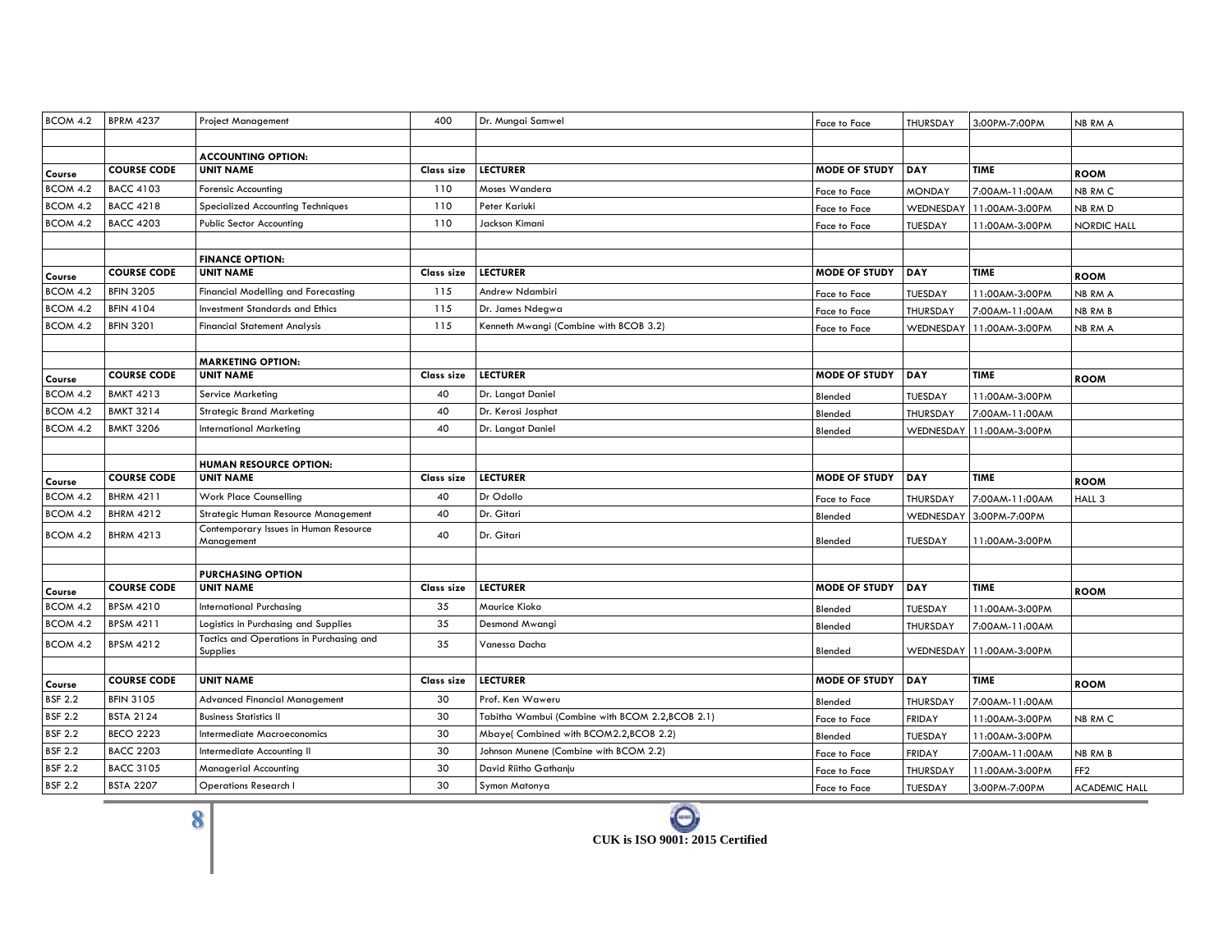| BCOM 4.2           | <b>BPRM 4237</b>                     | <b>Project Management</b>                             | 400        | Dr. Mungai Samwel                               | Face to Face         | <b>THURSDAY</b>  | 3:00PM-7:00PM  | NB RM A            |
|--------------------|--------------------------------------|-------------------------------------------------------|------------|-------------------------------------------------|----------------------|------------------|----------------|--------------------|
|                    |                                      |                                                       |            |                                                 |                      |                  |                |                    |
|                    |                                      | <b>ACCOUNTING OPTION:</b>                             |            |                                                 |                      |                  |                |                    |
| Course             | <b>COURSE CODE</b>                   | <b>UNIT NAME</b>                                      | Class size | <b>LECTURER</b>                                 | <b>MODE OF STUDY</b> | DAY              | <b>TIME</b>    | <b>ROOM</b>        |
| BCOM 4.2           | <b>BACC 4103</b>                     | Forensic Accounting                                   | 110        | Moses Wandera                                   | Face to Face         | <b>MONDAY</b>    | 7:00AM-11:00AM | NB RM C            |
| BCOM 4.2           | <b>BACC 4218</b>                     | Specialized Accounting Techniques                     | 110        | Peter Kariuki                                   | Face to Face         | WEDNESDAY        | 11:00AM-3:00PM | NB RM D            |
| BCOM 4.2           | <b>BACC 4203</b>                     | <b>Public Sector Accounting</b>                       | 110        | Jackson Kimani                                  | Face to Face         | TUESDAY          | 11:00AM-3:00PM | <b>NORDIC HALL</b> |
|                    |                                      |                                                       |            |                                                 |                      |                  |                |                    |
|                    |                                      | <b>FINANCE OPTION:</b>                                |            |                                                 |                      |                  |                |                    |
| Course             | <b>COURSE CODE</b>                   | <b>UNIT NAME</b>                                      | Class size | <b>LECTURER</b>                                 | <b>MODE OF STUDY</b> | DAY              | <b>TIME</b>    | <b>ROOM</b>        |
| <b>BCOM 4.2</b>    | <b>BFIN 3205</b>                     | Financial Modelling and Forecasting                   | 115        | Andrew Ndambiri                                 | Face to Face         | TUESDAY          | 11:00AM-3:00PM | NB RM A            |
| BCOM 4.2           | <b>BFIN 4104</b>                     | <b>Investment Standards and Ethics</b>                | 115        | Dr. James Ndegwa                                | Face to Face         | <b>THURSDAY</b>  | 7:00AM-11:00AM | NB RM B            |
| BCOM 4.2           | <b>BFIN 3201</b>                     | <b>Financial Statement Analysis</b>                   | 115        | Kenneth Mwangi (Combine with BCOB 3.2)          | Face to Face         | <b>WEDNESDAY</b> | 11:00AM-3:00PM | NB RM A            |
|                    |                                      |                                                       |            |                                                 |                      |                  |                |                    |
|                    |                                      | <b>MARKETING OPTION:</b>                              |            |                                                 |                      |                  |                |                    |
| Course             | <b>COURSE CODE</b>                   | <b>UNIT NAME</b>                                      | Class size | <b>LECTURER</b>                                 | <b>MODE OF STUDY</b> | <b>DAY</b>       | <b>TIME</b>    | <b>ROOM</b>        |
| BCOM 4.2           | <b>BMKT 4213</b>                     | Service Marketing                                     | 40         | Dr. Langat Daniel                               | Blended              | <b>TUESDAY</b>   | 11:00AM-3:00PM |                    |
| BCOM 4.2           | <b>BMKT 3214</b>                     | <b>Strategic Brand Marketing</b>                      | 40         | Dr. Kerosi Josphat                              | Blended              | <b>THURSDAY</b>  | 7:00AM-11:00AM |                    |
| BCOM 4.2           | <b>BMKT 3206</b>                     | <b>International Marketing</b>                        | 40         | Dr. Langat Daniel                               | Blended              | WEDNESDAY        | 11:00AM-3:00PM |                    |
|                    |                                      |                                                       |            |                                                 |                      |                  |                |                    |
|                    |                                      | <b>HUMAN RESOURCE OPTION:</b>                         |            |                                                 |                      |                  |                |                    |
| Course             | <b>COURSE CODE</b>                   | <b>UNIT NAME</b>                                      | Class size | <b>LECTURER</b>                                 | <b>MODE OF STUDY</b> | <b>DAY</b>       | <b>TIME</b>    | <b>ROOM</b>        |
| BCOM 4.2           | <b>BHRM 4211</b>                     | <b>Work Place Counselling</b>                         | 40         | Dr Odollo                                       | Face to Face         | <b>THURSDAY</b>  | 7:00AM-11:00AM | HALL 3             |
| BCOM 4.2           | <b>BHRM 4212</b>                     | Strategic Human Resource Management                   | 40         | Dr. Gitari                                      | Blended              | <b>WEDNESDAY</b> | 3:00PM-7:00PM  |                    |
| BCOM 4.2           | <b>BHRM 4213</b>                     | Contemporary Issues in Human Resource                 | 40         | Dr. Gitari                                      |                      |                  |                |                    |
|                    |                                      | Management                                            |            |                                                 | Blended              | TUESDAY          | 11:00AM-3:00PM |                    |
|                    |                                      | <b>PURCHASING OPTION</b>                              |            |                                                 |                      |                  |                |                    |
|                    | <b>COURSE CODE</b>                   | <b>UNIT NAME</b>                                      | Class size | <b>LECTURER</b>                                 | <b>MODE OF STUDY</b> | DAY              | <b>TIME</b>    | <b>ROOM</b>        |
| Course<br>BCOM 4.2 | <b>BPSM 4210</b>                     | International Purchasing                              | 35         | Maurice Kioko                                   | Blended              | TUESDAY          | 11:00AM-3:00PM |                    |
| BCOM 4.2           | <b>BPSM 4211</b>                     | Logistics in Purchasing and Supplies                  | 35         | Desmond Mwangi                                  | Blended              | THURSDAY         | 7:00AM-11:00AM |                    |
| BCOM 4.2           | <b>BPSM 4212</b>                     | Tactics and Operations in Purchasing and              | 35         | Vanessa Dacha                                   |                      |                  |                |                    |
|                    |                                      | Supplies                                              |            |                                                 | Blended              | WEDNESDAY        | 11:00AM-3:00PM |                    |
|                    |                                      |                                                       |            |                                                 |                      |                  |                |                    |
| Course             | <b>COURSE CODE</b>                   | <b>UNIT NAME</b>                                      | Class size | <b>LECTURER</b>                                 | <b>MODE OF STUDY</b> | <b>DAY</b>       | <b>TIME</b>    | <b>ROOM</b>        |
| <b>BSF 2.2</b>     | <b>BFIN 3105</b>                     | <b>Advanced Financial Management</b>                  | 30         | Prof. Ken Waweru                                | Blended              | <b>THURSDAY</b>  | 7:00AM-11:00AM |                    |
| <b>BSF 2.2</b>     | <b>BSTA 2124</b>                     | <b>Business Statistics II</b>                         | 30         | Tabitha Wambui (Combine with BCOM 2.2,BCOB 2.1) | Face to Face         | <b>FRIDAY</b>    | 11:00AM-3:00PM | NB RM C            |
| <b>BSF 2.2</b>     | <b>BECO 2223</b>                     | <b>Intermediate Macroeconomics</b>                    | 30         | Mbaye(Combined with BCOM2.2,BCOB 2.2)           | Blended              | TUESDAY          | 11:00AM-3:00PM |                    |
| <b>BSF 2.2</b>     | <b>BACC 2203</b>                     | Intermediate Accounting II                            | 30         | Johnson Munene (Combine with BCOM 2.2)          | Face to Face         | <b>FRIDAY</b>    | 7:00AM-11:00AM | NB RM B            |
| <b>BSF 2.2</b>     |                                      |                                                       |            |                                                 |                      |                  |                |                    |
| <b>BSF 2.2</b>     | <b>BACC 3105</b><br><b>BSTA 2207</b> | Managerial Accounting<br><b>Operations Research I</b> | 30<br>30   | David Riitho Gathanju                           | Face to Face         | THURSDAY         | 11:00AM-3:00PM | FF <sub>2</sub>    |

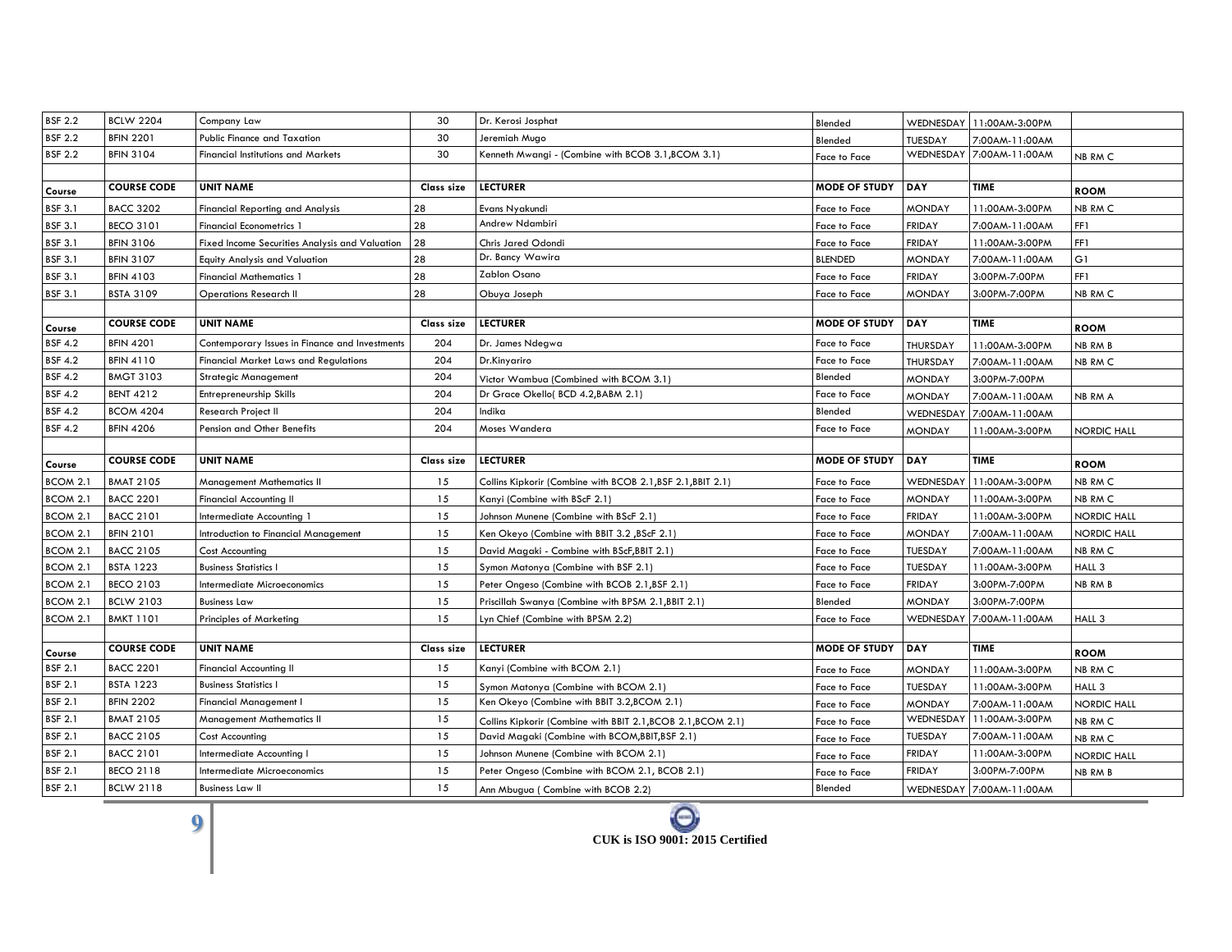| <b>BSF 2.2</b>  | <b>BCLW 2204</b>   | Company Law                                    | 30         | Dr. Kerosi Josphat                                           | Blended              |                 | WEDNESDAY 11:00AM-3:00PM |                    |
|-----------------|--------------------|------------------------------------------------|------------|--------------------------------------------------------------|----------------------|-----------------|--------------------------|--------------------|
| <b>BSF 2.2</b>  | <b>BFIN 2201</b>   | Public Finance and Taxation                    | 30         | Jeremiah Mugo                                                | Blended              | TUESDAY         | 7:00AM-11:00AM           |                    |
| <b>BSF 2.2</b>  | <b>BFIN 3104</b>   | <b>Financial Institutions and Markets</b>      | 30         | Kenneth Mwangi - (Combine with BCOB 3.1, BCOM 3.1)           | Face to Face         | WEDNESDAY       | 7:00AM-11:00AM           | NB RM C            |
|                 |                    |                                                |            |                                                              |                      |                 |                          |                    |
| Course          | <b>COURSE CODE</b> | <b>UNIT NAME</b>                               | Class size | <b>LECTURER</b>                                              | <b>MODE OF STUDY</b> | <b>DAY</b>      | <b>TIME</b>              | <b>ROOM</b>        |
| <b>BSF 3.1</b>  | <b>BACC 3202</b>   | <b>Financial Reporting and Analysis</b>        | 28         | Evans Nyakundi                                               | Face to Face         | <b>MONDAY</b>   | 11:00AM-3:00PM           | NB RM C            |
| <b>BSF 3.1</b>  | <b>BECO 3101</b>   | <b>Financial Econometrics 1</b>                | 28         | Andrew Ndambiri                                              | Face to Face         | <b>FRIDAY</b>   | 7:00AM-11:00AM           | FF1                |
| <b>BSF 3.1</b>  | <b>BFIN 3106</b>   | Fixed Income Securities Analysis and Valuation | 28         | Chris Jared Odondi                                           | Face to Face         | <b>FRIDAY</b>   | 11:00AM-3:00PM           | FF1                |
| <b>BSF 3.1</b>  | <b>BFIN 3107</b>   | Equity Analysis and Valuation                  | 28         | Dr. Bancy Wawira                                             | <b>BLENDED</b>       | <b>MONDAY</b>   | 7:00AM-11:00AM           | G1                 |
| <b>BSF 3.1</b>  | <b>BFIN 4103</b>   | <b>Financial Mathematics 1</b>                 | 28         | Zablon Osano                                                 | Face to Face         | <b>FRIDAY</b>   | 3:00PM-7:00PM            | FF1                |
| <b>BSF 3.1</b>  | <b>BSTA 3109</b>   | <b>Operations Research II</b>                  | 28         | Obuya Joseph                                                 | Face to Face         | <b>MONDAY</b>   | 3:00PM-7:00PM            | NB RM C            |
|                 |                    |                                                |            |                                                              |                      |                 |                          |                    |
| Course          | <b>COURSE CODE</b> | <b>UNIT NAME</b>                               | Class size | <b>LECTURER</b>                                              | <b>MODE OF STUDY</b> | DAY             | TIME                     | <b>ROOM</b>        |
| <b>BSF 4.2</b>  | <b>BFIN 4201</b>   | Contemporary Issues in Finance and Investments | 204        | Dr. James Ndegwa                                             | Face to Face         | <b>THURSDAY</b> | 11:00AM-3:00PM           | NB RM B            |
| <b>BSF 4.2</b>  | <b>BFIN 4110</b>   | Financial Market Laws and Regulations          | 204        | Dr.Kinyariro                                                 | Face to Face         | THURSDAY        | 7:00AM-11:00AM           | NB RM C            |
| <b>BSF 4.2</b>  | <b>BMGT 3103</b>   | <b>Strategic Management</b>                    | 204        | Victor Wambua (Combined with BCOM 3.1)                       | Blended              | <b>MONDAY</b>   | 3:00PM-7:00PM            |                    |
| <b>BSF 4.2</b>  | <b>BENT 4212</b>   | Entrepreneurship Skills                        | 204        | Dr Grace Okello( BCD 4.2, BABM 2.1)                          | Face to Face         | <b>MONDAY</b>   | 7:00AM-11:00AM           | NB RM A            |
| <b>BSF 4.2</b>  | <b>BCOM 4204</b>   | Research Project II                            | 204        | Indika                                                       | Blended              | WEDNESDAY       | 7:00AM-11:00AM           |                    |
| <b>BSF 4.2</b>  | <b>BFIN 4206</b>   | Pension and Other Benefits                     | 204        | Moses Wandera                                                | Face to Face         | <b>MONDAY</b>   | 11:00AM-3:00PM           | <b>NORDIC HALL</b> |
|                 |                    |                                                |            |                                                              |                      |                 |                          |                    |
|                 |                    |                                                |            |                                                              |                      |                 |                          |                    |
| Course          | <b>COURSE CODE</b> | <b>UNIT NAME</b>                               | Class size | <b>LECTURER</b>                                              | <b>MODE OF STUDY</b> | <b>DAY</b>      | <b>TIME</b>              | <b>ROOM</b>        |
| <b>BCOM 2.1</b> | <b>BMAT 2105</b>   | <b>Management Mathematics II</b>               | 15         | Collins Kipkorir (Combine with BCOB 2.1, BSF 2.1, BBIT 2.1)  | Face to Face         | WEDNESDAY       | 11:00AM-3:00PM           | NB RM C            |
| <b>BCOM 2.1</b> | <b>BACC 2201</b>   | <b>Financial Accounting II</b>                 | 15         | Kanyi (Combine with BScF 2.1)                                | Face to Face         | <b>MONDAY</b>   | 11:00AM-3:00PM           | NB RM C            |
| <b>BCOM 2.1</b> | <b>BACC 2101</b>   | Intermediate Accounting 1                      | 15         | Johnson Munene (Combine with BScF 2.1)                       | Face to Face         | <b>FRIDAY</b>   | 11:00AM-3:00PM           | <b>NORDIC HALL</b> |
| <b>BCOM 2.1</b> | <b>BFIN 2101</b>   | Introduction to Financial Management           | 15         | (BScF 2.1) Ken Okeyo (Combine with BBIT 3.2                  | Face to Face         | <b>MONDAY</b>   | 7:00AM-11:00AM           | <b>NORDIC HALL</b> |
| BCOM 2.1        | <b>BACC 2105</b>   | Cost Accounting                                | 15         | David Magaki - Combine with BScF, BBIT 2.1)                  | Face to Face         | TUESDAY         | 7:00AM-11:00AM           | NB RM C            |
| <b>BCOM 2.1</b> | <b>BSTA 1223</b>   | <b>Business Statistics I</b>                   | 15         | Symon Matonya (Combine with BSF 2.1)                         | Face to Face         | TUESDAY         | 11:00AM-3:00PM           | HALL 3             |
| <b>BCOM 2.1</b> | <b>BECO 2103</b>   | Intermediate Microeconomics                    | 15         | Peter Ongeso (Combine with BCOB 2.1, BSF 2.1)                | Face to Face         | <b>FRIDAY</b>   | 3:00PM-7:00PM            | NB RM B            |
| <b>BCOM 2.1</b> | <b>BCLW 2103</b>   | <b>Business Law</b>                            | 15         | Priscillah Swanya (Combine with BPSM 2.1, BBIT 2.1)          | Blended              | <b>MONDAY</b>   | 3:00PM-7:00PM            |                    |
| BCOM 2.1        | <b>BMKT 1101</b>   | <b>Principles of Marketing</b>                 | 15         | Lyn Chief (Combine with BPSM 2.2)                            | Face to Face         | WEDNESDAY       | 7:00AM-11:00AM           | HALL 3             |
|                 |                    |                                                |            |                                                              |                      |                 |                          |                    |
| Course          | <b>COURSE CODE</b> | <b>UNIT NAME</b>                               | Class size | <b>LECTURER</b>                                              | <b>MODE OF STUDY</b> | <b>DAY</b>      | TIME                     | <b>ROOM</b>        |
| <b>BSF 2.1</b>  | <b>BACC 2201</b>   | <b>Financial Accounting II</b>                 | 15         | Kanyi (Combine with BCOM 2.1)                                | Face to Face         | <b>MONDAY</b>   | 11:00AM-3:00PM           | NB RM C            |
| <b>BSF 2.1</b>  | <b>BSTA 1223</b>   | <b>Business Statistics I</b>                   | 15         | Symon Matonya (Combine with BCOM 2.1)                        | Face to Face         | <b>TUESDAY</b>  | 11:00AM-3:00PM           | HALL 3             |
| <b>BSF 2.1</b>  | <b>BFIN 2202</b>   | Financial Management I                         | 15         | Ken Okeyo (Combine with BBIT 3.2,BCOM 2.1)                   | Face to Face         | <b>MONDAY</b>   | 7:00AM-11:00AM           | <b>NORDIC HALL</b> |
| <b>BSF 2.1</b>  | <b>BMAT 2105</b>   | Management Mathematics II                      | 15         | Collins Kipkorir (Combine with BBIT 2.1, BCOB 2.1, BCOM 2.1) | Face to Face         | WEDNESDAY       | 11:00AM-3:00PM           | NB RM C            |
| <b>BSF 2.1</b>  | <b>BACC 2105</b>   | Cost Accounting                                | 15         | David Magaki (Combine with BCOM, BBIT, BSF 2.1)              | Face to Face         | TUESDAY         | 7:00AM-11:00AM           | NB RM C            |
| <b>BSF 2.1</b>  | <b>BACC 2101</b>   | Intermediate Accounting I                      | 15         | Johnson Munene (Combine with BCOM 2.1)                       | Face to Face         | <b>FRIDAY</b>   | 11:00AM-3:00PM           | <b>NORDIC HALL</b> |
| <b>BSF 2.1</b>  | <b>BECO 2118</b>   | Intermediate Microeconomics                    | 15         | Peter Ongeso (Combine with BCOM 2.1, BCOB 2.1)               | Face to Face         | <b>FRIDAY</b>   | 3:00PM-7:00PM            | NB RM B            |

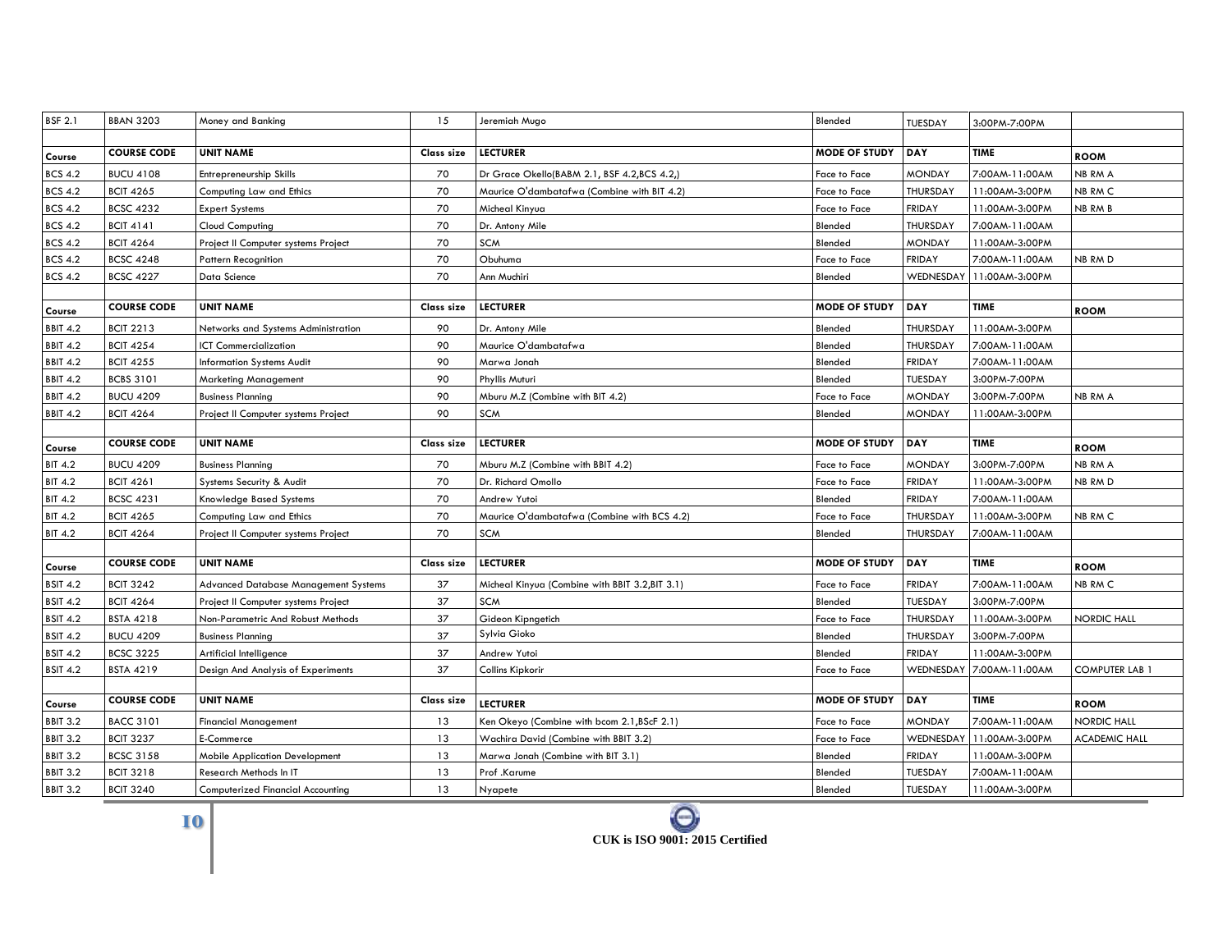| <b>BSF 2.1</b>  | <b>BBAN 3203</b>   | Money and Banking                        | 15         | Jeremiah Mugo                                  | Blended              | <b>TUESDAY</b>  | 3:00PM-7:00PM  |                       |
|-----------------|--------------------|------------------------------------------|------------|------------------------------------------------|----------------------|-----------------|----------------|-----------------------|
|                 |                    |                                          |            |                                                |                      |                 |                |                       |
| Course          | <b>COURSE CODE</b> | <b>UNIT NAME</b>                         | Class size | <b>LECTURER</b>                                | <b>MODE OF STUDY</b> | <b>DAY</b>      | <b>TIME</b>    | <b>ROOM</b>           |
| <b>BCS 4.2</b>  | <b>BUCU 4108</b>   | Entrepreneurship Skills                  | 70         | Dr Grace Okello(BABM 2.1, BSF 4.2,BCS 4.2,)    | Face to Face         | <b>MONDAY</b>   | 7:00AM-11:00AM | NB RM A               |
| <b>BCS 4.2</b>  | <b>BCIT 4265</b>   | Computing Law and Ethics                 | 70         | Maurice O'dambatafwa (Combine with BIT 4.2)    | Face to Face         | THURSDAY        | 11:00AM-3:00PM | NB RM C               |
| <b>BCS 4.2</b>  | <b>BCSC 4232</b>   | <b>Expert Systems</b>                    | 70         | Micheal Kinyua                                 | Face to Face         | <b>FRIDAY</b>   | 11:00AM-3:00PM | NB RM B               |
| <b>BCS 4.2</b>  | <b>BCIT 4141</b>   | <b>Cloud Computing</b>                   | 70         | Dr. Antony Mile                                | Blended              | THURSDAY        | 7:00AM-11:00AM |                       |
| <b>BCS 4.2</b>  | <b>BCIT 4264</b>   | Project II Computer systems Project      | 70         | SCM                                            | Blended              | <b>MONDAY</b>   | 11:00AM-3:00PM |                       |
| <b>BCS 4.2</b>  | <b>BCSC 4248</b>   | <b>Pattern Recognition</b>               | 70         | Obuhuma                                        | Face to Face         | <b>FRIDAY</b>   | 7:00AM-11:00AM | NB RM D               |
| <b>BCS 4.2</b>  | <b>BCSC 4227</b>   | Data Science                             | 70         | Ann Muchiri                                    | Blended              | WEDNESDAY       | 11:00AM-3:00PM |                       |
|                 |                    |                                          |            |                                                |                      |                 |                |                       |
| Course          | <b>COURSE CODE</b> | <b>UNIT NAME</b>                         | Class size | <b>LECTURER</b>                                | <b>MODE OF STUDY</b> | DAY             | TIME           | <b>ROOM</b>           |
| <b>BBIT 4.2</b> | <b>BCIT 2213</b>   | Networks and Systems Administration      | 90         | Dr. Antony Mile                                | Blended              | <b>THURSDAY</b> | 11:00AM-3:00PM |                       |
| <b>BBIT 4.2</b> | <b>BCIT 4254</b>   | ICT Commercialization                    | 90         | Maurice O'dambatafwa                           | Blended              | THURSDAY        | 7:00AM-11:00AM |                       |
| <b>BBIT 4.2</b> | <b>BCIT 4255</b>   | <b>Information Systems Audit</b>         | 90         | Marwa Jonah                                    | Blended              | <b>FRIDAY</b>   | 7:00AM-11:00AM |                       |
| <b>BBIT 4.2</b> | <b>BCBS 3101</b>   | Marketing Management                     | 90         | Phyllis Muturi                                 | Blended              | TUESDAY         | 3:00PM-7:00PM  |                       |
| <b>BBIT 4.2</b> | <b>BUCU 4209</b>   | <b>Business Planning</b>                 | 90         | Mburu M.Z (Combine with BIT 4.2)               | Face to Face         | <b>MONDAY</b>   | 3:00PM-7:00PM  | NB RM A               |
| <b>BBIT 4.2</b> | <b>BCIT 4264</b>   | Project II Computer systems Project      | 90         | <b>SCM</b>                                     | Blended              | <b>MONDAY</b>   | 11:00AM-3:00PM |                       |
|                 |                    |                                          |            |                                                |                      |                 |                |                       |
| Course          | <b>COURSE CODE</b> | <b>UNIT NAME</b>                         | Class size | <b>LECTURER</b>                                | <b>MODE OF STUDY</b> | <b>DAY</b>      | <b>TIME</b>    | <b>ROOM</b>           |
| <b>BIT 4.2</b>  | <b>BUCU 4209</b>   | <b>Business Planning</b>                 | 70         | Mburu M.Z (Combine with BBIT 4.2)              | Face to Face         | <b>MONDAY</b>   | 3:00PM-7:00PM  | NB RM A               |
| <b>BIT 4.2</b>  | <b>BCIT 4261</b>   | Systems Security & Audit                 | 70         | Dr. Richard Omollo                             | Face to Face         | <b>FRIDAY</b>   | 11:00AM-3:00PM | NB RM D               |
| <b>BIT 4.2</b>  | <b>BCSC 4231</b>   | Knowledge Based Systems                  | 70         | Andrew Yutoi                                   | Blended              | <b>FRIDAY</b>   | 7:00AM-11:00AM |                       |
| <b>BIT 4.2</b>  | <b>BCIT 4265</b>   | Computing Law and Ethics                 | 70         | Maurice O'dambatafwa (Combine with BCS 4.2)    | Face to Face         | THURSDAY        | 11:00AM-3:00PM | NB RM C               |
| <b>BIT 4.2</b>  | <b>BCIT 4264</b>   | Project II Computer systems Project      | 70         | <b>SCM</b>                                     | Blended              | <b>THURSDAY</b> | 7:00AM-11:00AM |                       |
|                 |                    |                                          |            |                                                |                      |                 |                |                       |
| Course          | <b>COURSE CODE</b> | <b>UNIT NAME</b>                         | Class size | <b>LECTURER</b>                                | <b>MODE OF STUDY</b> | <b>DAY</b>      | <b>TIME</b>    | <b>ROOM</b>           |
| <b>BSIT 4.2</b> | <b>BCIT 3242</b>   | Advanced Database Management Systems     | 37         | Micheal Kinyua (Combine with BBIT 3.2,BIT 3.1) | Face to Face         | <b>FRIDAY</b>   | 7:00AM-11:00AM | NB RM C               |
| <b>BSIT 4.2</b> | <b>BCIT 4264</b>   | Project II Computer systems Project      | 37         | <b>SCM</b>                                     | Blended              | <b>TUESDAY</b>  | 3:00PM-7:00PM  |                       |
| <b>BSIT 4.2</b> | <b>BSTA 4218</b>   | Non-Parametric And Robust Methods        | 37         | Gideon Kipngetich                              | Face to Face         | THURSDAY        | 11:00AM-3:00PM | NORDIC HALL           |
| <b>BSIT 4.2</b> | <b>BUCU 4209</b>   | <b>Business Planning</b>                 | 37         | Sylvia Gioko                                   | Blended              | THURSDAY        | 3:00PM-7:00PM  |                       |
| <b>BSIT 4.2</b> | <b>BCSC 3225</b>   | Artificial Intelligence                  | 37         | Andrew Yutoi                                   | Blended              | <b>FRIDAY</b>   | 11:00AM-3:00PM |                       |
| <b>BSIT 4.2</b> | <b>BSTA 4219</b>   | Design And Analysis of Experiments       | 37         | Collins Kipkorir                               | Face to Face         | WEDNESDAY       | 7:00AM-11:00AM | <b>COMPUTER LAB 1</b> |
|                 |                    |                                          |            |                                                |                      |                 |                |                       |
| Course          | <b>COURSE CODE</b> | <b>UNIT NAME</b>                         | Class size | <b>LECTURER</b>                                | <b>MODE OF STUDY</b> | DAY             | <b>TIME</b>    | <b>ROOM</b>           |
| <b>BBIT 3.2</b> | <b>BACC 3101</b>   | <b>Financial Management</b>              | 13         | Ken Okeyo (Combine with bcom 2.1, BScF 2.1)    | Face to Face         | <b>MONDAY</b>   | 7:00AM-11:00AM | <b>NORDIC HALL</b>    |
| <b>BBIT 3.2</b> | <b>BCIT 3237</b>   | E-Commerce                               | 13         | Wachira David (Combine with BBIT 3.2)          | Face to Face         | WEDNESDAY       | 11:00AM-3:00PM | ACADEMIC HALL         |
| <b>BBIT 3.2</b> | <b>BCSC 3158</b>   | <b>Mobile Application Development</b>    | 13         | Marwa Jonah (Combine with BIT 3.1)             | Blended              | <b>FRIDAY</b>   | 11:00AM-3:00PM |                       |
| <b>BBIT 3.2</b> | <b>BCIT 3218</b>   | Research Methods In IT                   | 13         | Prof.Karume                                    | Blended              | TUESDAY         | 7:00AM-11:00AM |                       |
| <b>BBIT 3.2</b> | <b>BCIT 3240</b>   | <b>Computerized Financial Accounting</b> | 13         | Nyapete                                        | Blended              | TUESDAY         | 11:00AM-3:00PM |                       |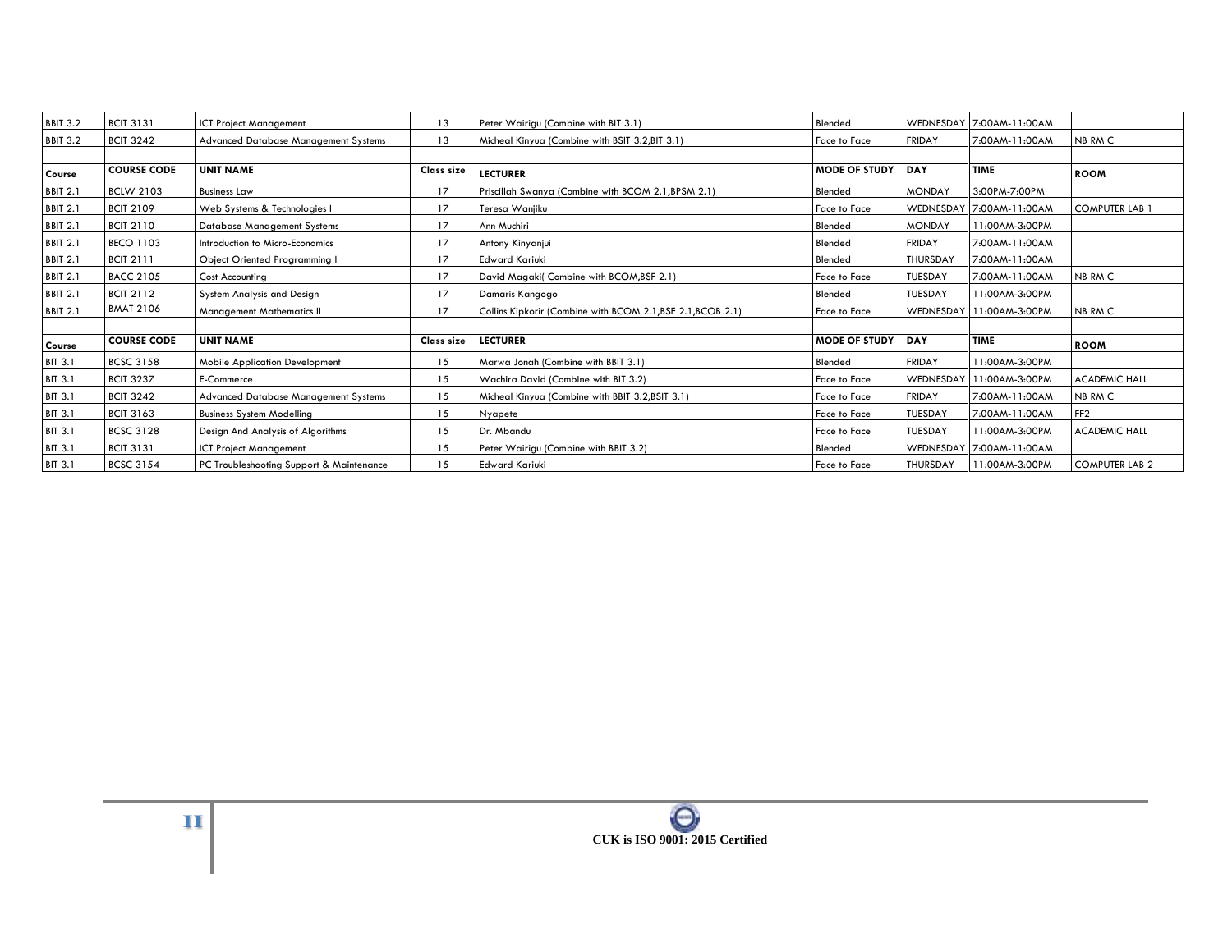| <b>BBIT 3.2</b> | <b>BCIT 3131</b>   | <b>ICT Project Management</b>            | 13         | Peter Wairigu (Combine with BIT 3.1)                        | Blended              |                  | WEDNESDAY 7:00AM-11:00AM |                       |
|-----------------|--------------------|------------------------------------------|------------|-------------------------------------------------------------|----------------------|------------------|--------------------------|-----------------------|
| <b>BBIT 3.2</b> | <b>BCIT 3242</b>   | Advanced Database Management Systems     | 13         | Micheal Kinyua (Combine with BSIT 3.2, BIT 3.1)             | Face to Face         | <b>FRIDAY</b>    | 7:00AM-11:00AM           | NB RM C               |
|                 |                    |                                          |            |                                                             |                      |                  |                          |                       |
| Course          | <b>COURSE CODE</b> | <b>UNIT NAME</b>                         | Class size | <b>LECTURER</b>                                             | <b>MODE OF STUDY</b> | DAY              | <b>TIME</b>              | <b>ROOM</b>           |
| <b>BBIT 2.1</b> | <b>BCLW 2103</b>   | <b>Business Law</b>                      | 17         | Priscillah Swanya (Combine with BCOM 2.1, BPSM 2.1)         | Blended              | <b>MONDAY</b>    | 3:00PM-7:00PM            |                       |
| <b>BBIT 2.1</b> | <b>BCIT 2109</b>   | Web Systems & Technologies I             | 17         | Teresa Wanjiku                                              | Face to Face         |                  | WEDNESDAY 7:00AM-11:00AM | <b>COMPUTER LAB</b>   |
| <b>BBIT 2.1</b> | <b>BCIT 2110</b>   | <b>Database Management Systems</b>       | 17         | Ann Muchiri                                                 | Blended              | <b>MONDAY</b>    | 11:00AM-3:00PM           |                       |
| <b>BBIT 2.1</b> | <b>BECO 1103</b>   | Introduction to Micro-Economics          | 17         | Antony Kinyanjui                                            | Blended              | <b>FRIDAY</b>    | 7:00AM-11:00AM           |                       |
| <b>BBIT 2.1</b> | <b>BCIT 2111</b>   | Object Oriented Programming I            | 17         | <b>Edward Kariuki</b>                                       | Blended              | <b>THURSDAY</b>  | 7:00AM-11:00AM           |                       |
| <b>BBIT 2.1</b> | <b>BACC 2105</b>   | <b>Cost Accounting</b>                   | 17         | David Magaki(Combine with BCOM, BSF 2.1)                    | Face to Face         | TUESDAY          | 7:00AM-11:00AM           | NB RM C               |
| <b>BBIT 2.1</b> | <b>BCIT 2112</b>   | System Analysis and Design               | 17         | Damaris Kangogo                                             | Blended              | <b>TUESDAY</b>   | 11:00AM-3:00PM           |                       |
| <b>BBIT 2.1</b> | <b>BMAT 2106</b>   | Management Mathematics II                | 17         | Collins Kipkorir (Combine with BCOM 2.1, BSF 2.1, BCOB 2.1) | <b>Face to Face</b>  | <b>WEDNESDAY</b> | 11:00AM-3:00PM           | NB RM C               |
|                 |                    |                                          |            |                                                             |                      |                  |                          |                       |
| Course          | <b>COURSE CODE</b> | <b>UNIT NAME</b>                         | Class size | <b>LECTURER</b>                                             | <b>MODE OF STUDY</b> | DAY              | <b>TIME</b>              | <b>ROOM</b>           |
| <b>BIT 3.1</b>  | <b>BCSC 3158</b>   | <b>Mobile Application Development</b>    | 15         | Marwa Jonah (Combine with BBIT 3.1)                         | Blended              | <b>FRIDAY</b>    | 11:00AM-3:00PM           |                       |
| <b>BIT 3.1</b>  | <b>BCIT 3237</b>   | E-Commerce                               | 15         | Wachira David (Combine with BIT 3.2)                        | Face to Face         | WEDNESDAY        | 11:00AM-3:00PM           | <b>ACADEMIC HALL</b>  |
| <b>BIT 3.1</b>  | <b>BCIT 3242</b>   | Advanced Database Management Systems     | 15         | Micheal Kinyua (Combine with BBIT 3.2, BSIT 3.1)            | Face to Face         | <b>FRIDAY</b>    | 7:00AM-11:00AM           | NB RM C               |
| <b>BIT 3.1</b>  | <b>BCIT 3163</b>   | <b>Business System Modelling</b>         | 15         | Nyapete                                                     | Face to Face         | TUESDAY          | 7:00AM-11:00AM           | FF <sub>2</sub>       |
| <b>BIT 3.1</b>  | <b>BCSC 3128</b>   | Design And Analysis of Algorithms        | 15         | Dr. Mbandu                                                  | Face to Face         | <b>TUESDAY</b>   | 11:00AM-3:00PM           | <b>ACADEMIC HALL</b>  |
| <b>BIT 3.1</b>  | <b>BCIT 3131</b>   | <b>ICT Project Management</b>            | 15         | Peter Wairigu (Combine with BBIT 3.2)                       | Blended              |                  | WEDNESDAY 7:00AM-11:00AM |                       |
| <b>BIT 3.1</b>  | <b>BCSC 3154</b>   | PC Troubleshooting Support & Maintenance | 15         | <b>Edward Kariuki</b>                                       | <b>Face to Face</b>  | <b>THURSDAY</b>  | 11:00AM-3:00PM           | <b>COMPUTER LAB 2</b> |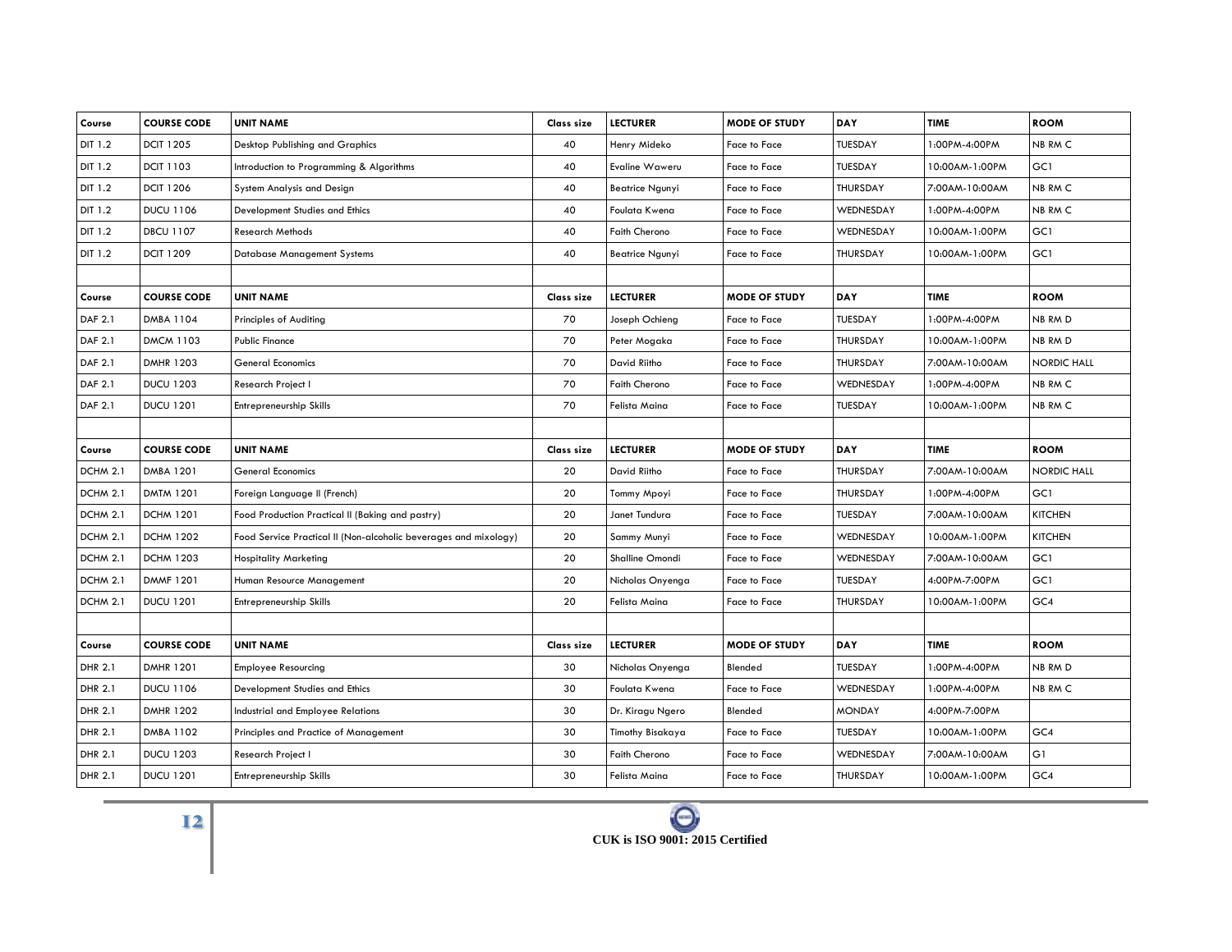| Course         | <b>COURSE CODE</b> | <b>UNIT NAME</b>                                                 | Class size | <b>LECTURER</b>        | <b>MODE OF STUDY</b> | DAY            | <b>TIME</b>    | <b>ROOM</b>        |
|----------------|--------------------|------------------------------------------------------------------|------------|------------------------|----------------------|----------------|----------------|--------------------|
| DIT 1.2        | <b>DCIT 1205</b>   | Desktop Publishing and Graphics                                  | 40         | Henry Mideko           | Face to Face         | TUESDAY        | 1:00PM-4:00PM  | NB RM C            |
| DIT 1.2        | <b>DCIT 1103</b>   | Introduction to Programming & Algorithms                         | 40         | Evaline Waweru         | Face to Face         | <b>TUESDAY</b> | 10:00AM-1:00PM | GC1                |
| DIT 1.2        | <b>DCIT 1206</b>   | System Analysis and Design                                       | 40         | <b>Beatrice Ngunyi</b> | Face to Face         | THURSDAY       | 7:00AM-10:00AM | NB RM C            |
| DIT 1.2        | <b>DUCU 1106</b>   | Development Studies and Ethics                                   | 40         | Foulata Kwena          | Face to Face         | WEDNESDAY      | 1:00PM-4:00PM  | NB RM C            |
| DIT 1.2        | <b>DBCU 1107</b>   | <b>Research Methods</b>                                          | 40         | <b>Faith Cherono</b>   | Face to Face         | WEDNESDAY      | 10:00AM-1:00PM | GC1                |
| DIT 1.2        | <b>DCIT 1209</b>   | Database Management Systems                                      | 40         | <b>Beatrice Ngunyi</b> | Face to Face         | THURSDAY       | 10:00AM-1:00PM | GC1                |
|                |                    |                                                                  |            |                        |                      |                |                |                    |
| Course         | <b>COURSE CODE</b> | <b>UNIT NAME</b>                                                 | Class size | <b>LECTURER</b>        | <b>MODE OF STUDY</b> | DAY            | <b>TIME</b>    | <b>ROOM</b>        |
| DAF 2.1        | DMBA 1104          | Principles of Auditing                                           | 70         | Joseph Ochieng         | Face to Face         | <b>TUESDAY</b> | 1:00PM-4:00PM  | NB RM D            |
| DAF 2.1        | <b>DMCM 1103</b>   | <b>Public Finance</b>                                            | 70         | Peter Mogaka           | Face to Face         | THURSDAY       | 10:00AM-1:00PM | NB RM D            |
| DAF 2.1        | <b>DMHR 1203</b>   | General Economics                                                | 70         | David Riitho           | Face to Face         | THURSDAY       | 7:00AM-10:00AM | <b>NORDIC HALL</b> |
| DAF 2.1        | <b>DUCU 1203</b>   | Research Project I                                               | 70         | <b>Faith Cherono</b>   | Face to Face         | WEDNESDAY      | 1:00PM-4:00PM  | NB RM C            |
| <b>DAF 2.1</b> | <b>DUCU 1201</b>   | <b>Entrepreneurship Skills</b>                                   | 70         | Felista Maina          | Face to Face         | TUESDAY        | 10:00AM-1:00PM | NB RM C            |
|                |                    |                                                                  |            |                        |                      |                |                |                    |
| Course         | <b>COURSE CODE</b> | <b>UNIT NAME</b>                                                 | Class size | <b>LECTURER</b>        | <b>MODE OF STUDY</b> | <b>DAY</b>     | <b>TIME</b>    | <b>ROOM</b>        |
| DCHM 2.1       | <b>DMBA 1201</b>   | <b>General Economics</b>                                         | 20         | David Riitho           | <b>Face to Face</b>  | THURSDAY       | 7:00AM-10:00AM | <b>NORDIC HALL</b> |
| DCHM 2.1       | <b>DMTM 1201</b>   | Foreign Language II (French)                                     | 20         | Tommy Mpoyi            | Face to Face         | THURSDAY       | 1:00PM-4:00PM  | GC1                |
| DCHM 2.1       | <b>DCHM 1201</b>   | Food Production Practical II (Baking and pastry)                 | 20         | Janet Tundura          | Face to Face         | <b>TUESDAY</b> | 7:00AM-10:00AM | <b>KITCHEN</b>     |
| DCHM 2.1       | <b>DCHM 1202</b>   | Food Service Practical II (Non-alcoholic beverages and mixology) | 20         | Sammy Munyi            | Face to Face         | WEDNESDAY      | 10:00AM-1:00PM | <b>KITCHEN</b>     |
| DCHM 2.1       | <b>DCHM 1203</b>   | <b>Hospitality Marketing</b>                                     | 20         | Shalline Omondi        | Face to Face         | WEDNESDAY      | 7:00AM-10:00AM | GC1                |
| DCHM 2.1       | <b>DMMF 1201</b>   | Human Resource Management                                        | 20         | Nicholas Onyenga       | Face to Face         | TUESDAY        | 4:00PM-7:00PM  | GC1                |
| DCHM 2.1       | <b>DUCU 1201</b>   | Entrepreneurship Skills                                          | 20         | Felista Maina          | Face to Face         | THURSDAY       | 10:00AM-1:00PM | GC4                |
|                |                    |                                                                  |            |                        |                      |                |                |                    |
| Course         | <b>COURSE CODE</b> | <b>UNIT NAME</b>                                                 | Class size | <b>LECTURER</b>        | <b>MODE OF STUDY</b> | DAY            | <b>TIME</b>    | <b>ROOM</b>        |
| DHR 2.1        | <b>DMHR 1201</b>   | <b>Employee Resourcing</b>                                       | 30         | Nicholas Onyenga       | Blended              | TUESDAY        | 1:00PM-4:00PM  | NB RM D            |
| DHR 2.1        | <b>DUCU 1106</b>   | Development Studies and Ethics                                   | 30         | Foulata Kwena          | Face to Face         | WEDNESDAY      | 1:00PM-4:00PM  | NB RM C            |
| DHR 2.1        | <b>DMHR 1202</b>   | Industrial and Employee Relations                                | 30         | Dr. Kiragu Ngero       | Blended              | <b>MONDAY</b>  | 4:00PM-7:00PM  |                    |
| DHR 2.1        | DMBA 1102          | Principles and Practice of Management                            | 30         | Timothy Bisakaya       | Face to Face         | <b>TUESDAY</b> | 10:00AM-1:00PM | GC4                |
| DHR 2.1        | <b>DUCU 1203</b>   | Research Project I                                               | 30         | Faith Cherono          | Face to Face         | WEDNESDAY      | 7:00AM-10:00AM | G1                 |
| DHR 2.1        | <b>DUCU 1201</b>   | Entrepreneurship Skills                                          | 30         | Felista Maina          | Face to Face         | THURSDAY       | 10:00AM-1:00PM | GC4                |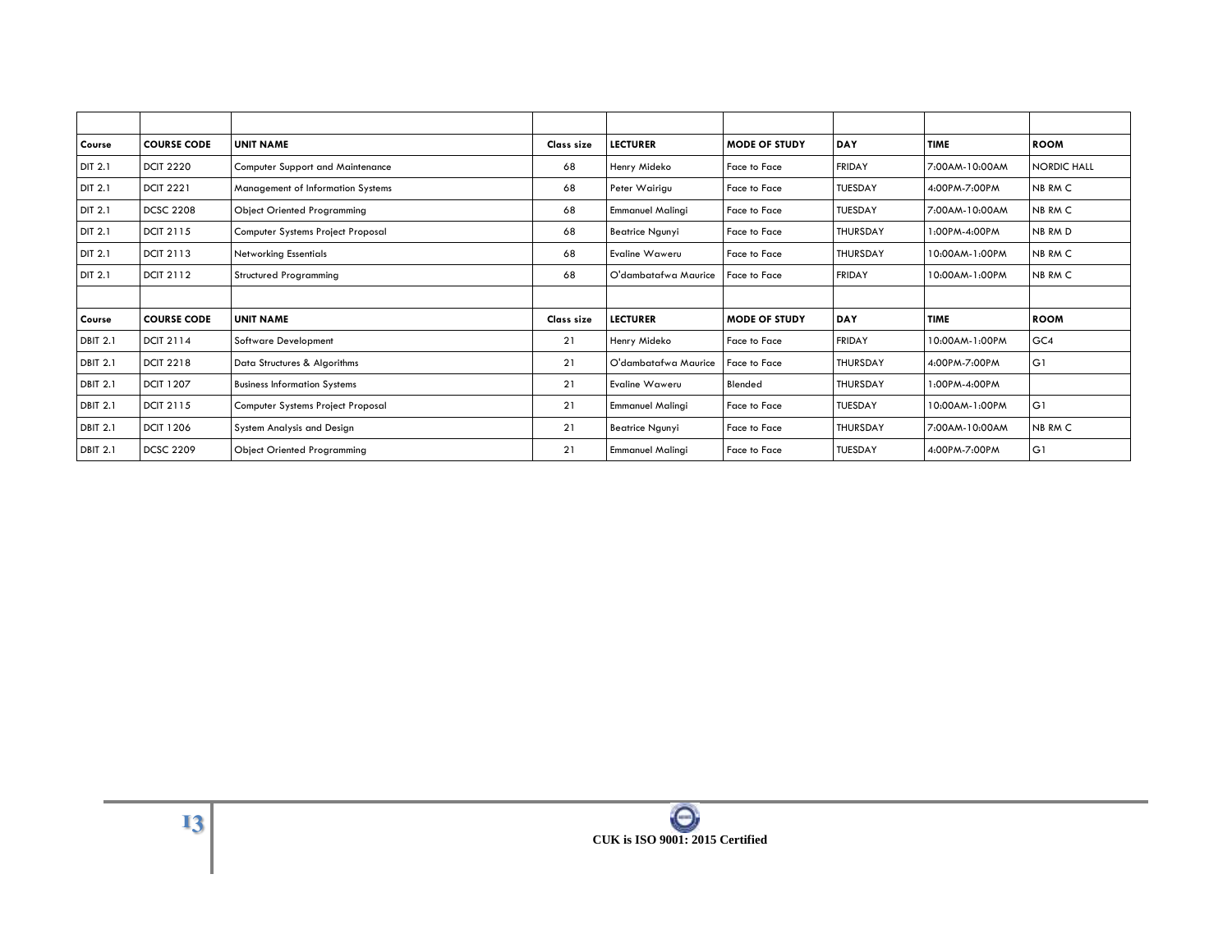| Course          | <b>COURSE CODE</b> | <b>UNIT NAME</b>                    | Class size | <b>LECTURER</b>         | <b>MODE OF STUDY</b> | DAY             | <b>TIME</b>    | <b>ROOM</b>        |
|-----------------|--------------------|-------------------------------------|------------|-------------------------|----------------------|-----------------|----------------|--------------------|
| <b>DIT 2.1</b>  | <b>DCIT 2220</b>   | Computer Support and Maintenance    | 68         | Henry Mideko            | Face to Face         | <b>FRIDAY</b>   | 7:00AM-10:00AM | <b>NORDIC HALL</b> |
| DIT 2.1         | <b>DCIT 2221</b>   | Management of Information Systems   | 68         | Peter Wairigu           | Face to Face         | <b>TUESDAY</b>  | 4:00PM-7:00PM  | NB RM C            |
| DIT 2.1         | <b>DCSC 2208</b>   | <b>Object Oriented Programming</b>  | 68         | <b>Emmanuel Malinai</b> | Face to Face         | <b>TUESDAY</b>  | 7:00AM-10:00AM | NB RM C            |
| DIT 2.1         | <b>DCIT 2115</b>   | Computer Systems Project Proposal   | 68         | <b>Beatrice Ngunyi</b>  | Face to Face         | <b>THURSDAY</b> | 1:00PM-4:00PM  | NB RM D            |
| <b>DIT 2.1</b>  | <b>DCIT 2113</b>   | <b>Networking Essentials</b>        | 68         | Evaline Waweru          | Face to Face         | <b>THURSDAY</b> | 10:00AM-1:00PM | NB RM C            |
| <b>DIT 2.1</b>  | <b>DCIT 2112</b>   | <b>Structured Programming</b>       | 68         | O'dambatafwa Maurice    | Face to Face         | <b>FRIDAY</b>   | 10:00AM-1:00PM | NB RM C            |
|                 |                    |                                     |            |                         |                      |                 |                |                    |
| Course          | <b>COURSE CODE</b> | <b>UNIT NAME</b>                    | Class size | <b>LECTURER</b>         | <b>MODE OF STUDY</b> | DAY             | <b>TIME</b>    | <b>ROOM</b>        |
| <b>DBIT 2.1</b> | <b>DCIT 2114</b>   | <b>Software Development</b>         | 21         | Henry Mideko            | Face to Face         | <b>FRIDAY</b>   | 10:00AM-1:00PM | GC4                |
| <b>DBIT 2.1</b> | <b>DCIT 2218</b>   | Data Structures & Algorithms        | 21         | O'dambatafwa Maurice    | <b>Face to Face</b>  | <b>THURSDAY</b> | 4:00PM-7:00PM  | G1                 |
| <b>DBIT 2.1</b> | <b>DCIT 1207</b>   | <b>Business Information Systems</b> | 21         | Evaline Waweru          | Blended              | <b>THURSDAY</b> | 1:00PM-4:00PM  |                    |
| <b>DBIT 2.1</b> | <b>DCIT 2115</b>   | Computer Systems Project Proposal   | 21         | <b>Emmanuel Malingi</b> | Face to Face         | <b>TUESDAY</b>  | 10:00AM-1:00PM | G1                 |
| <b>DBIT 2.1</b> | <b>DCIT 1206</b>   | System Analysis and Design          | 21         | <b>Beatrice Ngunyi</b>  | Face to Face         | <b>THURSDAY</b> | 7:00AM-10:00AM | NB RM C            |
| <b>DBIT 2.1</b> | <b>DCSC 2209</b>   | <b>Object Oriented Programming</b>  | 21         | <b>Emmanuel Malingi</b> | Face to Face         | <b>TUESDAY</b>  | 4:00PM-7:00PM  | G1                 |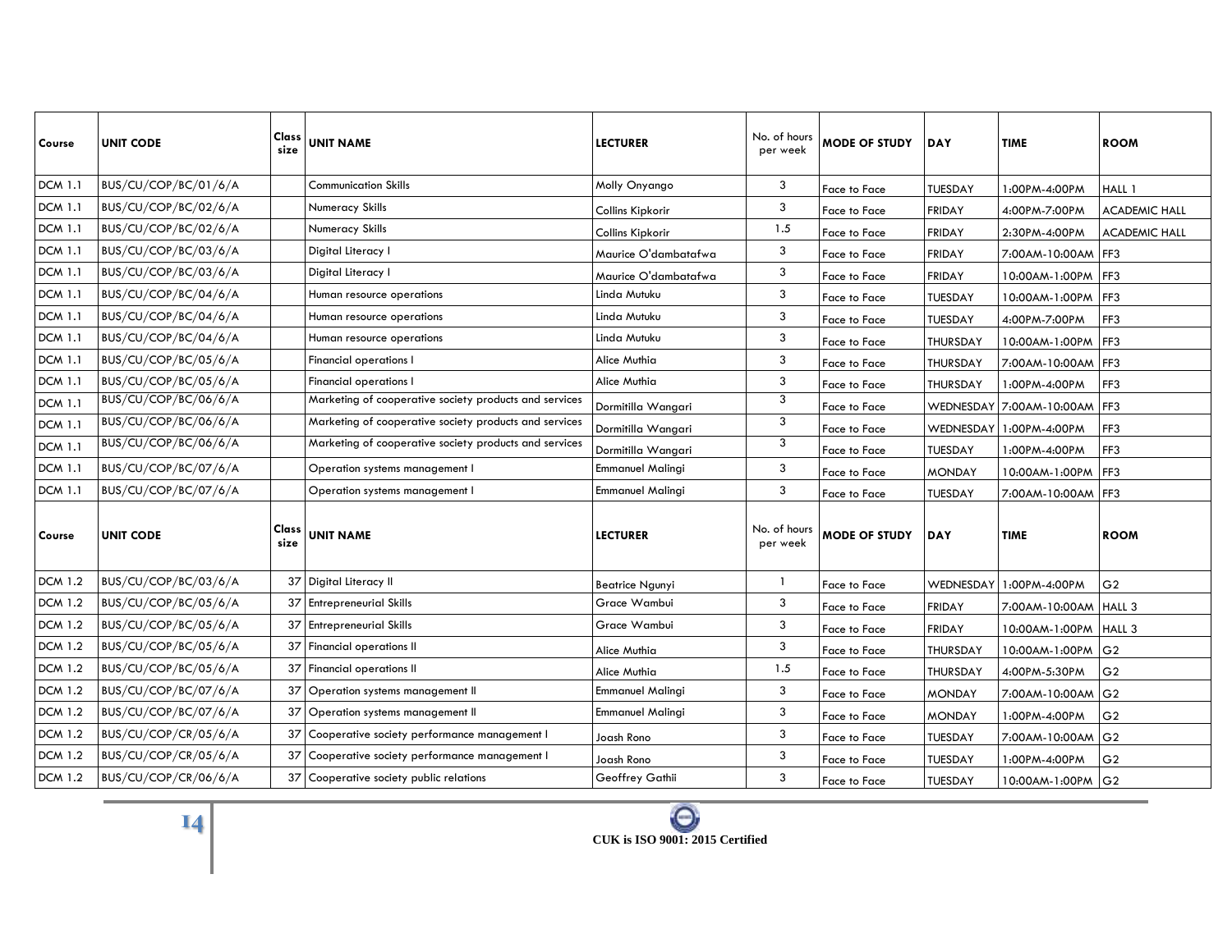| Course         | <b>UNIT CODE</b>     | Class<br>size | <b>UNIT NAME</b>                                       | <b>LECTURER</b>         | No. of hours<br>per week | <b>MODE OF STUDY</b> | <b>DAY</b>     | TIME                     | <b>ROOM</b>          |
|----------------|----------------------|---------------|--------------------------------------------------------|-------------------------|--------------------------|----------------------|----------------|--------------------------|----------------------|
| <b>DCM 1.1</b> | BUS/CU/COP/BC/01/6/A |               | <b>Communication Skills</b>                            | Molly Onyango           | 3                        | Face to Face         | <b>TUESDAY</b> | 1:00PM-4:00PM            | HALL 1               |
| <b>DCM 1.1</b> | BUS/CU/COP/BC/02/6/A |               | Numeracy Skills                                        | Collins Kipkorir        | 3                        | Face to Face         | <b>FRIDAY</b>  | 4:00PM-7:00PM            | <b>ACADEMIC HALL</b> |
| <b>DCM 1.1</b> | BUS/CU/COP/BC/02/6/A |               | Numeracy Skills                                        | Collins Kipkorir        | 1.5                      | Face to Face         | <b>FRIDAY</b>  | 2:30PM-4:00PM            | <b>ACADEMIC HALL</b> |
| <b>DCM 1.1</b> | BUS/CU/COP/BC/03/6/A |               | Digital Literacy I                                     | Maurice O'dambatafwa    | 3                        | Face to Face         | <b>FRIDAY</b>  | 7:00AM-10:00AM FF3       |                      |
| <b>DCM 1.1</b> | BUS/CU/COP/BC/03/6/A |               | Digital Literacy I                                     | Maurice O'dambatafwa    | 3                        | Face to Face         | <b>FRIDAY</b>  | 10:00AM-1:00PM FF3       |                      |
| <b>DCM 1.1</b> | BUS/CU/COP/BC/04/6/A |               | Human resource operations                              | Linda Mutuku            | 3                        | Face to Face         | <b>TUESDAY</b> | 10:00AM-1:00PM           | FF3                  |
| <b>DCM 1.1</b> | BUS/CU/COP/BC/04/6/A |               | Human resource operations                              | Linda Mutuku            | 3                        | Face to Face         | TUESDAY        | 4:00PM-7:00PM            | FF3                  |
| <b>DCM 1.1</b> | BUS/CU/COP/BC/04/6/A |               | Human resource operations                              | Linda Mutuku            | 3                        | Face to Face         | THURSDAY       | 10:00AM-1:00PM FF3       |                      |
| <b>DCM 1.1</b> | BUS/CU/COP/BC/05/6/A |               | <b>Financial operations I</b>                          | Alice Muthia            | 3                        | Face to Face         | THURSDAY       | 7:00AM-10:00AM FF3       |                      |
| <b>DCM 1.1</b> | BUS/CU/COP/BC/05/6/A |               | <b>Financial operations I</b>                          | Alice Muthia            | 3                        | Face to Face         | THURSDAY       | 1:00PM-4:00PM            | FF3                  |
| <b>DCM 1.1</b> | BUS/CU/COP/BC/06/6/A |               | Marketing of cooperative society products and services | Dormitilla Wangari      | 3                        | Face to Face         |                | WEDNESDAY 7:00AM-10:00AM | FF3                  |
| <b>DCM 1.1</b> | BUS/CU/COP/BC/06/6/A |               | Marketing of cooperative society products and services | Dormitilla Wangari      | 3                        | Face to Face         |                | WEDNESDAY 1:00PM-4:00PM  | FF3                  |
| <b>DCM 1.1</b> | BUS/CU/COP/BC/06/6/A |               | Marketing of cooperative society products and services | Dormitilla Wangari      | 3                        | Face to Face         | <b>TUESDAY</b> | 1:00PM-4:00PM            | FF3                  |
| <b>DCM 1.1</b> | BUS/CU/COP/BC/07/6/A |               | Operation systems management I                         | Emmanuel Malingi        | 3                        | Face to Face         | <b>MONDAY</b>  | 10:00AM-1:00PM FF3       |                      |
| <b>DCM 1.1</b> | BUS/CU/COP/BC/07/6/A |               | Operation systems management I                         | <b>Emmanuel Malingi</b> | 3                        | Face to Face         | TUESDAY        | 7:00AM-10:00AM FF3       |                      |
| Course         | <b>UNIT CODE</b>     | Class<br>size | <b>UNIT NAME</b>                                       | <b>LECTURER</b>         | No. of hours<br>per week | <b>MODE OF STUDY</b> | <b>DAY</b>     | TIME                     | <b>ROOM</b>          |
| <b>DCM 1.2</b> | BUS/CU/COP/BC/03/6/A |               | 37 Digital Literacy II                                 | Beatrice Ngunyi         | -1                       | Face to Face         | WEDNESDAY      | 1:00PM-4:00PM            | G <sub>2</sub>       |
| <b>DCM 1.2</b> | BUS/CU/COP/BC/05/6/A |               | 37 Entrepreneurial Skills                              | Grace Wambui            | 3                        | Face to Face         | <b>FRIDAY</b>  | 7:00AM-10:00AM HALL 3    |                      |
| <b>DCM 1.2</b> | BUS/CU/COP/BC/05/6/A |               | 37 Entrepreneurial Skills                              | Grace Wambui            | 3                        | Face to Face         | <b>FRIDAY</b>  | 10:00AM-1:00PM   HALL 3  |                      |
| <b>DCM 1.2</b> | BUS/CU/COP/BC/05/6/A |               | 37 Financial operations II                             | Alice Muthia            | 3                        | Face to Face         | THURSDAY       | 10:00AM-1:00PM G2        |                      |
| <b>DCM 1.2</b> | BUS/CU/COP/BC/05/6/A |               | 37 Financial operations II                             | Alice Muthia            | 1.5                      | Face to Face         | THURSDAY       | 4:00PM-5:30PM            | G <sub>2</sub>       |
| <b>DCM 1.2</b> | BUS/CU/COP/BC/07/6/A | 37 I          | Operation systems management II                        | <b>Emmanuel Malingi</b> | 3                        | Face to Face         | <b>MONDAY</b>  | 7:00AM-10:00AM G2        |                      |
| <b>DCM 1.2</b> | BUS/CU/COP/BC/07/6/A | 37            | Operation systems management II                        | <b>Emmanuel Malingi</b> | 3                        | Face to Face         | <b>MONDAY</b>  | 1:00PM-4:00PM            | G <sub>2</sub>       |
| <b>DCM 1.2</b> | BUS/CU/COP/CR/05/6/A | 37            | Cooperative society performance management I           | Joash Rono              | 3                        | Face to Face         | TUESDAY        | 7:00AM-10:00AM           | G <sub>2</sub>       |
| <b>DCM 1.2</b> | BUS/CU/COP/CR/05/6/A | 37            | Cooperative society performance management I           | Joash Rono              | 3                        | Face to Face         | TUESDAY        | 1:00PM-4:00PM            | G <sub>2</sub>       |
| <b>DCM 1.2</b> | BUS/CU/COP/CR/06/6/A |               | 37 Cooperative society public relations                | Geoffrey Gathii         | 3                        | Face to Face         | TUESDAY        | 10:00AM-1:00PM G2        |                      |

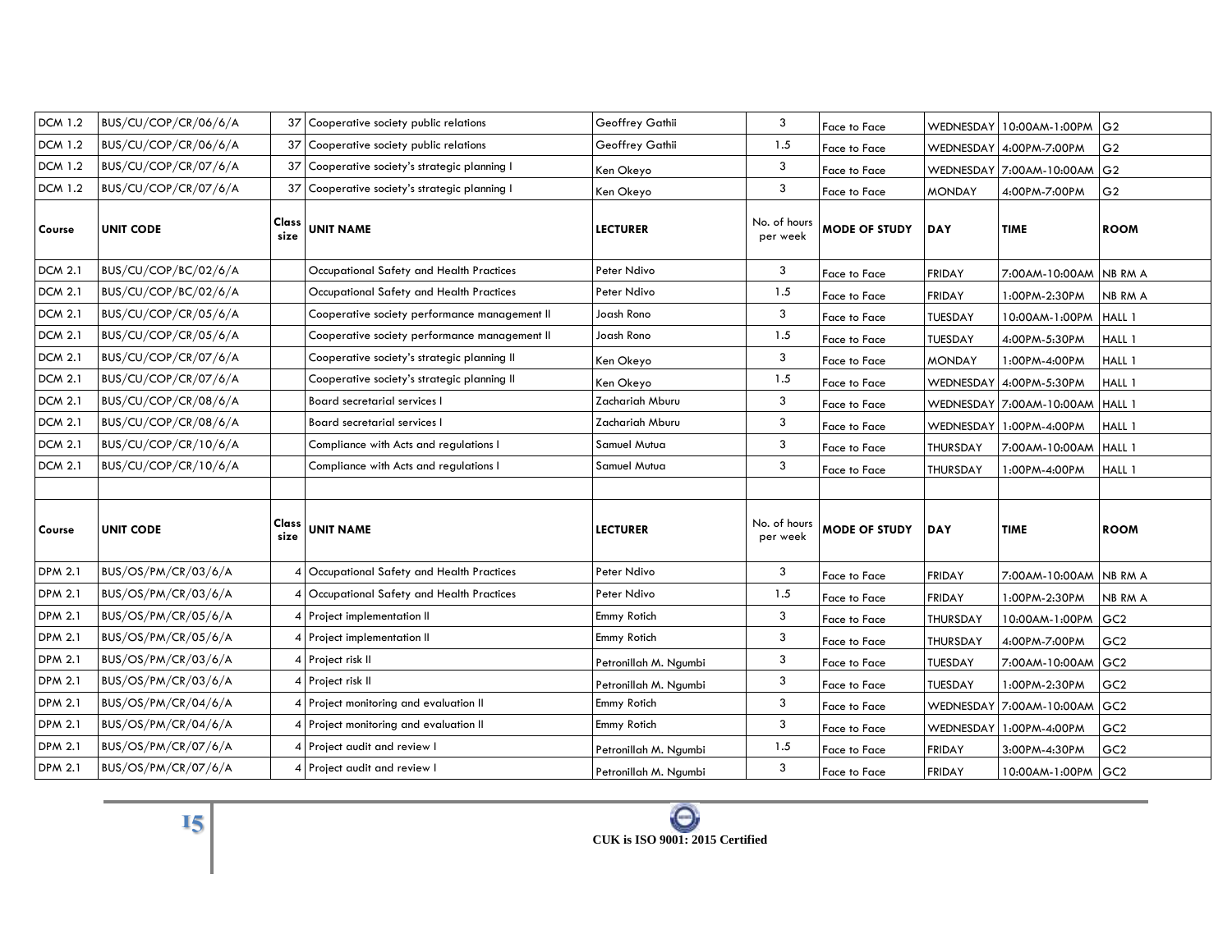| <b>DCM 1.2</b> | BUS/CU/COP/CR/06/6/A | 37            | Cooperative society public relations          | Geoffrey Gathii       | 3                        | Face to Face         |                | WEDNESDAY 10:00AM-1:00PM G2 |                 |
|----------------|----------------------|---------------|-----------------------------------------------|-----------------------|--------------------------|----------------------|----------------|-----------------------------|-----------------|
| <b>DCM 1.2</b> | BUS/CU/COP/CR/06/6/A | 37            | Cooperative society public relations          | Geoffrey Gathii       | 1.5                      | Face to Face         |                | WEDNESDAY 4:00PM-7:00PM     | G <sub>2</sub>  |
| <b>DCM 1.2</b> | BUS/CU/COP/CR/07/6/A | 37            | Cooperative society's strategic planning I    | Ken Okeyo             | 3                        | Face to Face         |                | WEDNESDAY 7:00AM-10:00AM    | G <sub>2</sub>  |
| <b>DCM 1.2</b> | BUS/CU/COP/CR/07/6/A | 37            | Cooperative society's strategic planning I    | Ken Okeyo             | 3                        | Face to Face         | <b>MONDAY</b>  | 4:00PM-7:00PM               | G <sub>2</sub>  |
| Course         | <b>UNIT CODE</b>     | Class<br>size | <b>UNIT NAME</b>                              | <b>LECTURER</b>       | No. of hours<br>per week | <b>MODE OF STUDY</b> | <b>DAY</b>     | <b>TIME</b>                 | <b>ROOM</b>     |
| <b>DCM 2.1</b> | BUS/CU/COP/BC/02/6/A |               | Occupational Safety and Health Practices      | Peter Ndivo           | 3                        | Face to Face         | <b>FRIDAY</b>  | 7:00AM-10:00AM NB RM A      |                 |
| <b>DCM 2.1</b> | BUS/CU/COP/BC/02/6/A |               | Occupational Safety and Health Practices      | Peter Ndivo           | 1.5                      | Face to Face         | <b>FRIDAY</b>  | 1:00PM-2:30PM               | NB RM A         |
| <b>DCM 2.1</b> | BUS/CU/COP/CR/05/6/A |               | Cooperative society performance management II | Joash Rono            | 3                        | Face to Face         | <b>TUESDAY</b> | 10:00AM-1:00PM              | HALL 1          |
| <b>DCM 2.1</b> | BUS/CU/COP/CR/05/6/A |               | Cooperative society performance management II | Joash Rono            | 1.5                      | Face to Face         | TUESDAY        | 4:00PM-5:30PM               | HALL 1          |
| <b>DCM 2.1</b> | BUS/CU/COP/CR/07/6/A |               | Cooperative society's strategic planning II   | Ken Okeyo             | 3                        | Face to Face         | <b>MONDAY</b>  | 1:00PM-4:00PM               | HALL 1          |
| <b>DCM 2.1</b> | BUS/CU/COP/CR/07/6/A |               | Cooperative society's strategic planning II   | Ken Okeyo             | 1.5                      | Face to Face         | WEDNESDAY      | 4:00PM-5:30PM               | HALL 1          |
| <b>DCM 2.1</b> | BUS/CU/COP/CR/08/6/A |               | Board secretarial services I                  | Zachariah Mburu       | 3                        | Face to Face         |                | WEDNESDAY 7:00AM-10:00AM    | HALL 1          |
| <b>DCM 2.1</b> | BUS/CU/COP/CR/08/6/A |               | Board secretarial services I                  | Zachariah Mburu       | 3                        | Face to Face         |                | WEDNESDAY 1:00PM-4:00PM     | HALL 1          |
| <b>DCM 2.1</b> | BUS/CU/COP/CR/10/6/A |               | Compliance with Acts and regulations I        | Samuel Mutua          | 3                        | Face to Face         | THURSDAY       | 7:00AM-10:00AM              | HALL 1          |
| <b>DCM 2.1</b> | BUS/CU/COP/CR/10/6/A |               | Compliance with Acts and regulations I        | Samuel Mutua          | 3                        | Face to Face         | THURSDAY       | 1:00PM-4:00PM               | HALL 1          |
|                |                      |               |                                               |                       |                          |                      |                |                             |                 |
| Course         | <b>UNIT CODE</b>     | Class<br>size | <b>UNIT NAME</b>                              | <b>LECTURER</b>       | No. of hours<br>per week | <b>MODE OF STUDY</b> | <b>DAY</b>     | <b>TIME</b>                 | <b>ROOM</b>     |
| <b>DPM 2.1</b> | BUS/OS/PM/CR/03/6/A  |               | Occupational Safety and Health Practices      | Peter Ndivo           | 3                        | Face to Face         | <b>FRIDAY</b>  | 7:00AM-10:00AM NB RM A      |                 |
| <b>DPM 2.1</b> | BUS/OS/PM/CR/03/6/A  |               | Occupational Safety and Health Practices      | Peter Ndivo           | 1.5                      | Face to Face         | <b>FRIDAY</b>  | 1:00PM-2:30PM               | NB RM A         |
| <b>DPM 2.1</b> | BUS/OS/PM/CR/05/6/A  | 4             | Project implementation II                     | Emmy Rotich           | 3                        | Face to Face         | THURSDAY       | 10:00AM-1:00PM              | GC <sub>2</sub> |
| <b>DPM 2.1</b> | BUS/OS/PM/CR/05/6/A  | 4             | Project implementation II                     | Emmy Rotich           | 3                        | Face to Face         | THURSDAY       | 4:00PM-7:00PM               | GC <sub>2</sub> |
| <b>DPM 2.1</b> | BUS/OS/PM/CR/03/6/A  |               | Project risk II                               | Petronillah M. Ngumbi | 3                        | Face to Face         | TUESDAY        | 7:00AM-10:00AM              | GC <sub>2</sub> |
| <b>DPM 2.1</b> | BUS/OS/PM/CR/03/6/A  |               | Project risk II                               | Petronillah M. Ngumbi | 3                        | Face to Face         | TUESDAY        | 1:00PM-2:30PM               | GC <sub>2</sub> |
| <b>DPM 2.1</b> | BUS/OS/PM/CR/04/6/A  |               | Project monitoring and evaluation II          | Emmy Rotich           | 3                        | Face to Face         |                | WEDNESDAY 7:00AM-10:00AM    | GC <sub>2</sub> |
| <b>DPM 2.1</b> | BUS/OS/PM/CR/04/6/A  |               | Project monitoring and evaluation II          | Emmy Rotich           | 3                        | Face to Face         |                | WEDNESDAY 1:00PM-4:00PM     | GC <sub>2</sub> |
| <b>DPM 2.1</b> | BUS/OS/PM/CR/07/6/A  | 4             | Project audit and review I                    | Petronillah M. Ngumbi | 1.5                      | Face to Face         | <b>FRIDAY</b>  | 3:00PM-4:30PM               | GC <sub>2</sub> |
| <b>DPM 2.1</b> | BUS/OS/PM/CR/07/6/A  |               | Project audit and review I                    | Petronillah M. Ngumbi | 3                        | Face to Face         | <b>FRIDAY</b>  | 10:00AM-1:00PM GC2          |                 |

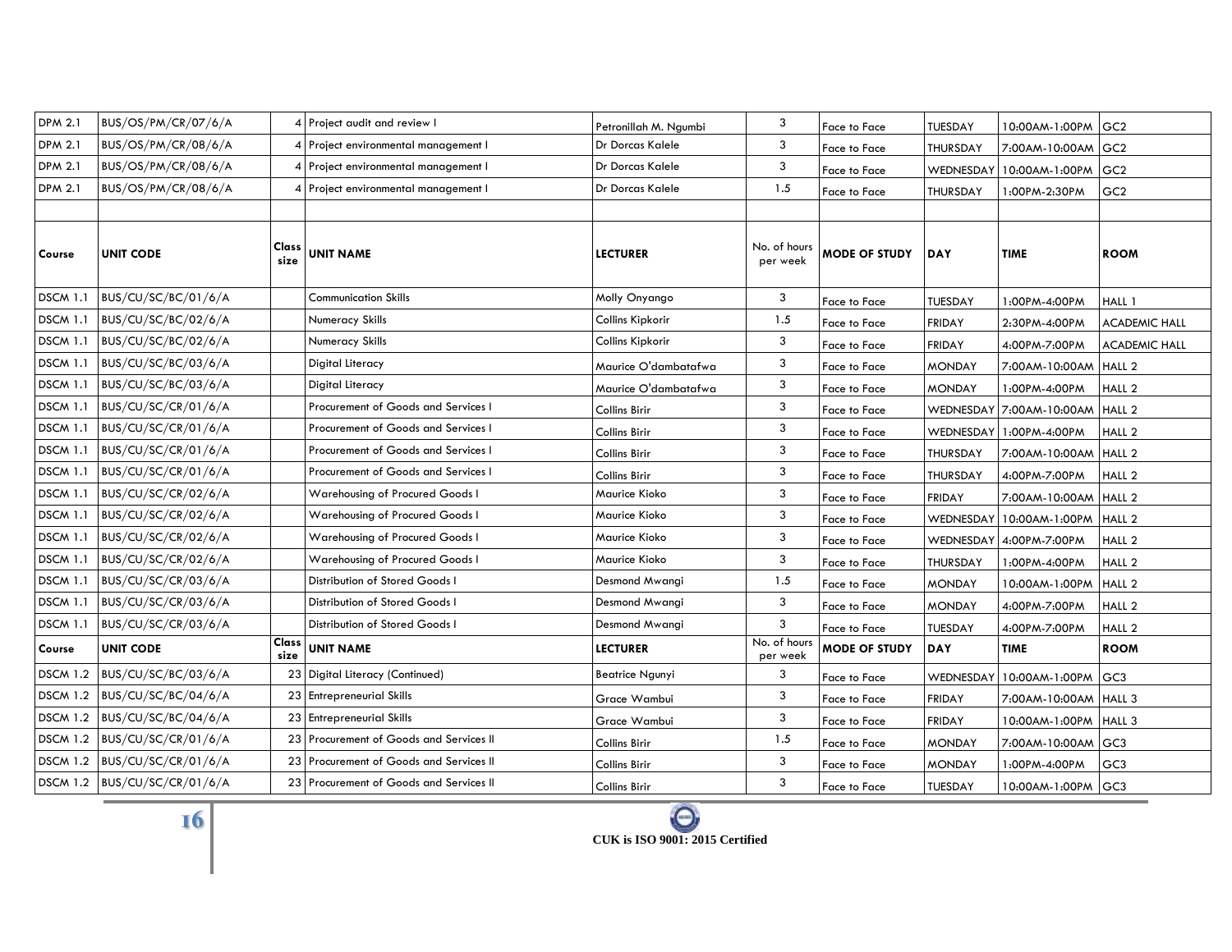| <b>DPM 2.1</b>  | BUS/OS/PM/CR/07/6/A          |                 | 4 Project audit and review I            | Petronillah M. Ngumbi   | 3                        | Face to Face         | TUESDAY          | 10:00AM-1:00PM           | GC <sub>2</sub>      |
|-----------------|------------------------------|-----------------|-----------------------------------------|-------------------------|--------------------------|----------------------|------------------|--------------------------|----------------------|
| <b>DPM 2.1</b>  | BUS/OS/PM/CR/08/6/A          |                 | Project environmental management I      | <b>Dr Dorcas Kalele</b> | 3                        | Face to Face         | THURSDAY         | 7:00AM-10:00AM GC2       |                      |
| <b>DPM 2.1</b>  | BUS/OS/PM/CR/08/6/A          |                 | 4 Project environmental management I    | Dr Dorcas Kalele        | 3                        | Face to Face         | <b>WEDNESDAY</b> | 10:00AM-1:00PM           | GC <sub>2</sub>      |
| <b>DPM 2.1</b>  | BUS/OS/PM/CR/08/6/A          | 4               | Project environmental management I      | Dr Dorcas Kalele        | 1.5                      | Face to Face         | THURSDAY         | 1:00PM-2:30PM            | GC <sub>2</sub>      |
|                 |                              |                 |                                         |                         |                          |                      |                  |                          |                      |
| Course          | <b>UNIT CODE</b>             | Class<br>size   | <b>UNIT NAME</b>                        | <b>LECTURER</b>         | No. of hours<br>per week | <b>MODE OF STUDY</b> | <b>DAY</b>       | <b>TIME</b>              | <b>ROOM</b>          |
| <b>DSCM 1.1</b> | BUS/CU/SC/BC/01/6/A          |                 | Communication Skills                    | Molly Onyango           | 3                        | Face to Face         | TUESDAY          | 1:00PM-4:00PM            | HALL 1               |
| <b>DSCM 1.1</b> | BUS/CU/SC/BC/02/6/A          |                 | Numeracy Skills                         | Collins Kipkorir        | 1.5                      | Face to Face         | <b>FRIDAY</b>    | 2:30PM-4:00PM            | <b>ACADEMIC HALL</b> |
| <b>DSCM 1.1</b> | BUS/CU/SC/BC/02/6/A          |                 | Numeracy Skills                         | Collins Kipkorir        | 3                        | Face to Face         | <b>FRIDAY</b>    | 4:00PM-7:00PM            | <b>ACADEMIC HALL</b> |
| <b>DSCM 1.1</b> | BUS/CU/SC/BC/03/6/A          |                 | Digital Literacy                        | Maurice O'dambatafwa    | 3                        | Face to Face         | <b>MONDAY</b>    | 7:00AM-10:00AM           | HALL <sub>2</sub>    |
| <b>DSCM 1.1</b> | BUS/CU/SC/BC/03/6/A          |                 | Digital Literacy                        | Maurice O'dambatafwa    | 3                        | Face to Face         | <b>MONDAY</b>    | 1:00PM-4:00PM            | HALL <sub>2</sub>    |
| <b>DSCM 1.1</b> | BUS/CU/SC/CR/01/6/A          |                 | Procurement of Goods and Services I     | Collins Birir           | 3                        | Face to Face         |                  | WEDNESDAY 7:00AM-10:00AM | HALL <sub>2</sub>    |
| <b>DSCM 1.1</b> | BUS/CU/SC/CR/01/6/A          |                 | Procurement of Goods and Services I     | Collins Birir           | 3                        | Face to Face         |                  | WEDNESDAY 1:00PM-4:00PM  | HALL <sub>2</sub>    |
| <b>DSCM 1.1</b> | BUS/CU/SC/CR/01/6/A          |                 | Procurement of Goods and Services I     | Collins Birir           | 3                        | Face to Face         | THURSDAY         | 7:00AM-10:00AM           | HALL <sub>2</sub>    |
| <b>DSCM 1.1</b> | BUS/CU/SC/CR/01/6/A          |                 | Procurement of Goods and Services I     | Collins Birir           | 3                        | Face to Face         | THURSDAY         | 4:00PM-7:00PM            | HALL <sub>2</sub>    |
| <b>DSCM 1.1</b> | BUS/CU/SC/CR/02/6/A          |                 | Warehousing of Procured Goods I         | Maurice Kioko           | 3                        | Face to Face         | <b>FRIDAY</b>    | 7:00AM-10:00AM HALL 2    |                      |
| <b>DSCM 1.1</b> | BUS/CU/SC/CR/02/6/A          |                 | Warehousing of Procured Goods I         | Maurice Kioko           | 3                        | Face to Face         | WEDNESDAY        | 10:00AM-1:00PM           | HALL <sub>2</sub>    |
| <b>DSCM 1.1</b> | BUS/CU/SC/CR/02/6/A          |                 | Warehousing of Procured Goods I         | Maurice Kioko           | 3                        | Face to Face         |                  | WEDNESDAY 4:00PM-7:00PM  | HALL <sub>2</sub>    |
| <b>DSCM 1.1</b> | BUS/CU/SC/CR/02/6/A          |                 | Warehousing of Procured Goods I         | Maurice Kioko           | 3                        | Face to Face         | THURSDAY         | 1:00PM-4:00PM            | HALL <sub>2</sub>    |
| <b>DSCM 1.1</b> | BUS/CU/SC/CR/03/6/A          |                 | Distribution of Stored Goods I          | Desmond Mwangi          | 1.5                      | Face to Face         | <b>MONDAY</b>    | 10:00AM-1:00PM           | HALL <sub>2</sub>    |
| <b>DSCM 1.1</b> | BUS/CU/SC/CR/03/6/A          |                 | Distribution of Stored Goods I          | Desmond Mwangi          | 3                        | Face to Face         | <b>MONDAY</b>    | 4:00PM-7:00PM            | HALL <sub>2</sub>    |
| <b>DSCM 1.1</b> | BUS/CU/SC/CR/03/6/A          |                 | Distribution of Stored Goods I          | Desmond Mwangi          | 3                        | Face to Face         | <b>TUESDAY</b>   | 4:00PM-7:00PM            | HALL <sub>2</sub>    |
| Course          | <b>UNIT CODE</b>             | Class<br>size   | <b>UNIT NAME</b>                        | <b>LECTURER</b>         | No. of hours<br>per week | <b>MODE OF STUDY</b> | <b>DAY</b>       | <b>TIME</b>              | <b>ROOM</b>          |
| <b>DSCM 1.2</b> | BUS/CU/SC/BC/03/6/A          |                 | 23 Digital Literacy (Continued)         | <b>Beatrice Ngunyi</b>  | 3                        | Face to Face         | WEDNESDAY        | 10:00AM-1:00PM           | GC <sub>3</sub>      |
| <b>DSCM 1.2</b> | BUS/CU/SC/BC/04/6/A          | 23 <sub>1</sub> | <b>Entrepreneurial Skills</b>           | Grace Wambui            | 3                        | Face to Face         | <b>FRIDAY</b>    | 7:00AM-10:00AM HALL 3    |                      |
|                 | DSCM 1.2 BUS/CU/SC/BC/04/6/A | 23 <sub>1</sub> | <b>Entrepreneurial Skills</b>           | Grace Wambui            | 3                        | Face to Face         | <b>FRIDAY</b>    | 10:00AM-1:00PM           | HALL 3               |
| <b>DSCM 1.2</b> | BUS/CU/SC/CR/01/6/A          | 23              | Procurement of Goods and Services II    | Collins Birir           | 1.5                      | Face to Face         | <b>MONDAY</b>    | 7:00AM-10:00AM           | GC <sub>3</sub>      |
|                 | DSCM 1.2 BUS/CU/SC/CR/01/6/A |                 | 23 Procurement of Goods and Services II | Collins Birir           | 3                        | Face to Face         | <b>MONDAY</b>    | 1:00PM-4:00PM            | GC <sub>3</sub>      |
|                 | DSCM 1.2 BUS/CU/SC/CR/01/6/A |                 | 23 Procurement of Goods and Services II | Collins Birir           | 3                        | Face to Face         | <b>TUESDAY</b>   | 10:00AM-1:00PM GC3       |                      |



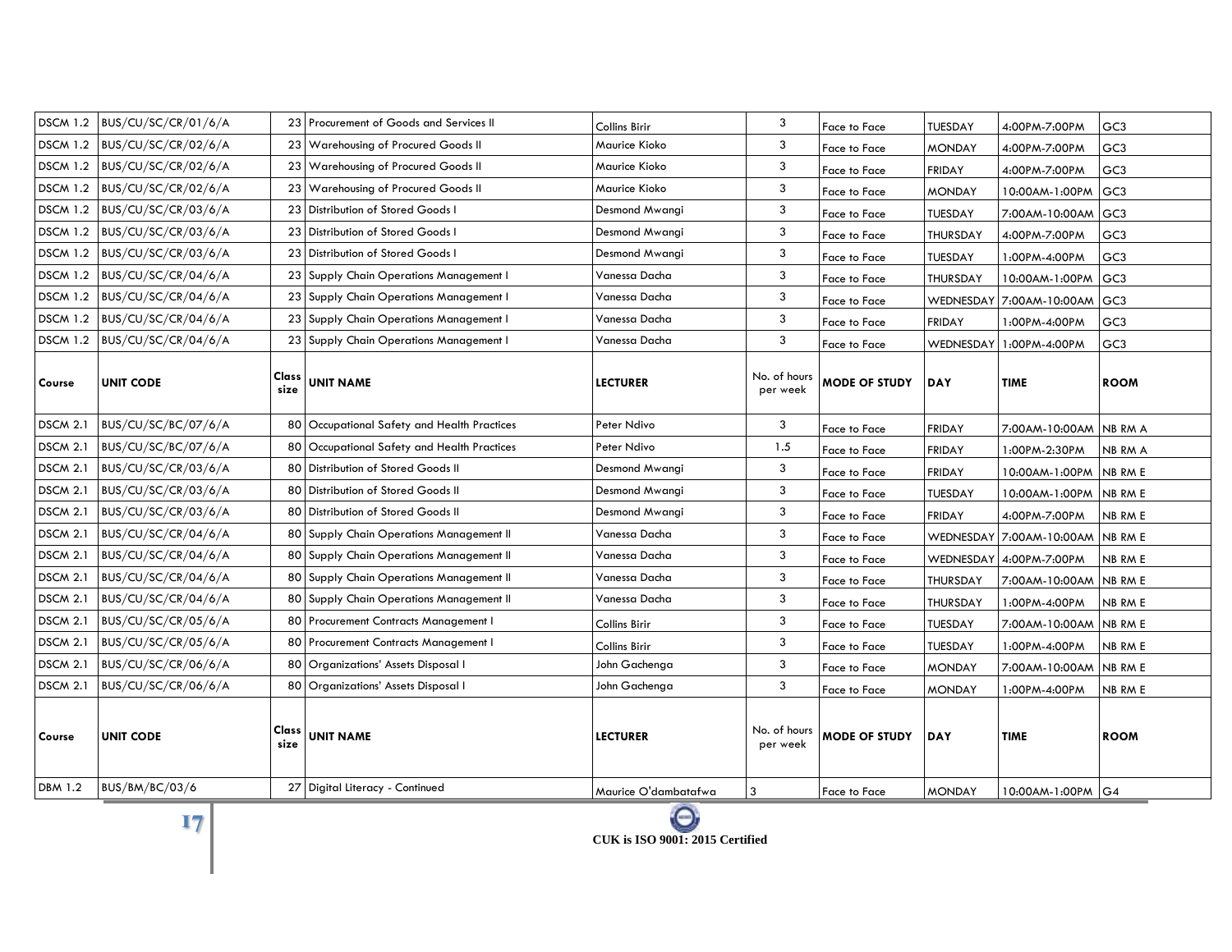|                 | DSCM 1.2 BUS/CU/SC/CR/01/6/A | 23              | Procurement of Goods and Services II     | Collins Birir        | 3                        | Face to Face         | TUESDAY        | 4:00PM-7:00PM                    | GC <sub>3</sub> |
|-----------------|------------------------------|-----------------|------------------------------------------|----------------------|--------------------------|----------------------|----------------|----------------------------------|-----------------|
|                 | DSCM 1.2 BUS/CU/SC/CR/02/6/A | 23              | Warehousing of Procured Goods II         | Maurice Kioko        | 3                        | Face to Face         | <b>MONDAY</b>  | 4:00PM-7:00PM                    | GC <sub>3</sub> |
|                 | DSCM 1.2 BUS/CU/SC/CR/02/6/A |                 | 23 Warehousing of Procured Goods II      | Maurice Kioko        | 3                        | Face to Face         | <b>FRIDAY</b>  | 4:00PM-7:00PM                    | GC <sub>3</sub> |
|                 | DSCM 1.2 BUS/CU/SC/CR/02/6/A | 23              | Warehousing of Procured Goods II         | Maurice Kioko        | 3                        | Face to Face         | <b>MONDAY</b>  | 10:00AM-1:00PM                   | GC <sub>3</sub> |
|                 | DSCM 1.2 BUS/CU/SC/CR/03/6/A | 23              | Distribution of Stored Goods I           | Desmond Mwangi       | 3                        | Face to Face         | <b>TUESDAY</b> | 7:00AM-10:00AM                   | GC <sub>3</sub> |
|                 | DSCM 1.2 BUS/CU/SC/CR/03/6/A | 23 <sub>1</sub> | Distribution of Stored Goods I           | Desmond Mwangi       | 3                        | Face to Face         | THURSDAY       | 4:00PM-7:00PM                    | GC <sub>3</sub> |
|                 | DSCM 1.2 BUS/CU/SC/CR/03/6/A | 23              | Distribution of Stored Goods I           | Desmond Mwangi       | 3                        | Face to Face         | <b>TUESDAY</b> | 1:00PM-4:00PM                    | GC <sub>3</sub> |
|                 | DSCM 1.2 BUS/CU/SC/CR/04/6/A | 23              | Supply Chain Operations Management I     | Vanessa Dacha        | 3                        | Face to Face         | THURSDAY       | 10:00AM-1:00PM                   | GC <sub>3</sub> |
|                 | DSCM 1.2 BUS/CU/SC/CR/04/6/A | 23              | Supply Chain Operations Management I     | Vanessa Dacha        | 3                        | Face to Face         |                | WEDNESDAY 7:00AM-10:00AM         | GC <sub>3</sub> |
|                 | DSCM 1.2 BUS/CU/SC/CR/04/6/A | 23              | Supply Chain Operations Management I     | Vanessa Dacha        | 3                        | Face to Face         | <b>FRIDAY</b>  | 1:00PM-4:00PM                    | GC <sub>3</sub> |
|                 | DSCM 1.2 BUS/CU/SC/CR/04/6/A | 23              | Supply Chain Operations Management I     | Vanessa Dacha        | 3                        | Face to Face         | WEDNESDAY      | 1:00PM-4:00PM                    | GC <sub>3</sub> |
| Course          | UNIT CODE                    | Class<br>size   | <b>UNIT NAME</b>                         | <b>LECTURER</b>      | No. of hours<br>per week | MODE OF STUDY        | <b>DAY</b>     | <b>TIME</b>                      | <b>ROOM</b>     |
| <b>DSCM 2.1</b> | BUS/CU/SC/BC/07/6/A          | 80              | Occupational Safety and Health Practices | Peter Ndivo          | 3                        | Face to Face         | <b>FRIDAY</b>  | 7:00AM-10:00AM NB RM A           |                 |
| <b>DSCM 2.1</b> | BUS/CU/SC/BC/07/6/A          | 80              | Occupational Safety and Health Practices | Peter Ndivo          | 1.5                      | Face to Face         | <b>FRIDAY</b>  | 1:00PM-2:30PM                    | NB RM A         |
| <b>DSCM 2.1</b> | $ $ BUS/CU/SC/CR/03/6/A      |                 | 80 Distribution of Stored Goods II       | Desmond Mwangi       | 3                        | Face to Face         | <b>FRIDAY</b>  | 10:00AM-1:00PM NB RM E           |                 |
| <b>DSCM 2.1</b> | BUS/CU/SC/CR/03/6/A          | 80              | Distribution of Stored Goods II          | Desmond Mwangi       | 3                        | Face to Face         | TUESDAY        | 10:00AM-1:00PM NB RM E           |                 |
| <b>DSCM 2.1</b> | BUS/CU/SC/CR/03/6/A          | 80              | <b>Distribution of Stored Goods II</b>   | Desmond Mwangi       | 3                        | Face to Face         | <b>FRIDAY</b>  | 4:00PM-7:00PM                    | NB RM E         |
| <b>DSCM 2.1</b> | BUS/CU/SC/CR/04/6/A          | 80              | Supply Chain Operations Management II    | Vanessa Dacha        | 3                        | Face to Face         |                | WEDNESDAY 7:00AM-10:00AM NB RM E |                 |
| <b>DSCM 2.1</b> | BUS/CU/SC/CR/04/6/A          | 80              | Supply Chain Operations Management II    | Vanessa Dacha        | 3                        | Face to Face         |                | WEDNESDAY 4:00PM-7:00PM          | <b>NB RM E</b>  |
| <b>DSCM 2.1</b> | BUS/CU/SC/CR/04/6/A          | 80              | Supply Chain Operations Management II    | Vanessa Dacha        | 3                        | Face to Face         | THURSDAY       | 7:00AM-10:00AM NB RM E           |                 |
| <b>DSCM 2.1</b> | BUS/CU/SC/CR/04/6/A          | 80              | Supply Chain Operations Management II    | Vanessa Dacha        | 3                        | Face to Face         | THURSDAY       | 1:00PM-4:00PM                    | NB RM E         |
| <b>DSCM 2.1</b> | BUS/CU/SC/CR/05/6/A          | 80              | Procurement Contracts Management I       | Collins Birir        | 3                        | Face to Face         | TUESDAY        | 7:00AM-10:00AM NB RM E           |                 |
| <b>DSCM 2.1</b> | BUS/CU/SC/CR/05/6/A          |                 | 80 Procurement Contracts Management I    | Collins Birir        | 3                        | Face to Face         | <b>TUESDAY</b> | 1:00PM-4:00PM                    | NB RM E         |
| <b>DSCM 2.1</b> | BUS/CU/SC/CR/06/6/A          | 80              | Organizations' Assets Disposal I         | John Gachenga        | 3                        | Face to Face         | <b>MONDAY</b>  | 7:00AM-10:00AM                   | NB RM E         |
| <b>DSCM 2.1</b> | BUS/CU/SC/CR/06/6/A          | 80              | Organizations' Assets Disposal I         | John Gachenga        | 3                        | Face to Face         | <b>MONDAY</b>  | 1:00PM-4:00PM                    | NB RM E         |
| Course          | <b>UNIT CODE</b>             | Class<br>size   | <b>UNIT NAME</b>                         | <b>LECTURER</b>      | No. of hours<br>per week | <b>MODE OF STUDY</b> | <b>DAY</b>     | <b>TIME</b>                      | <b>ROOM</b>     |
| <b>DBM 1.2</b>  | BUS/BM/BC/03/6               |                 | 27 Digital Literacy - Continued          | Maurice O'dambatafwa | 3                        | Face to Face         | <b>MONDAY</b>  | 10:00AM-1:00PM G4                |                 |

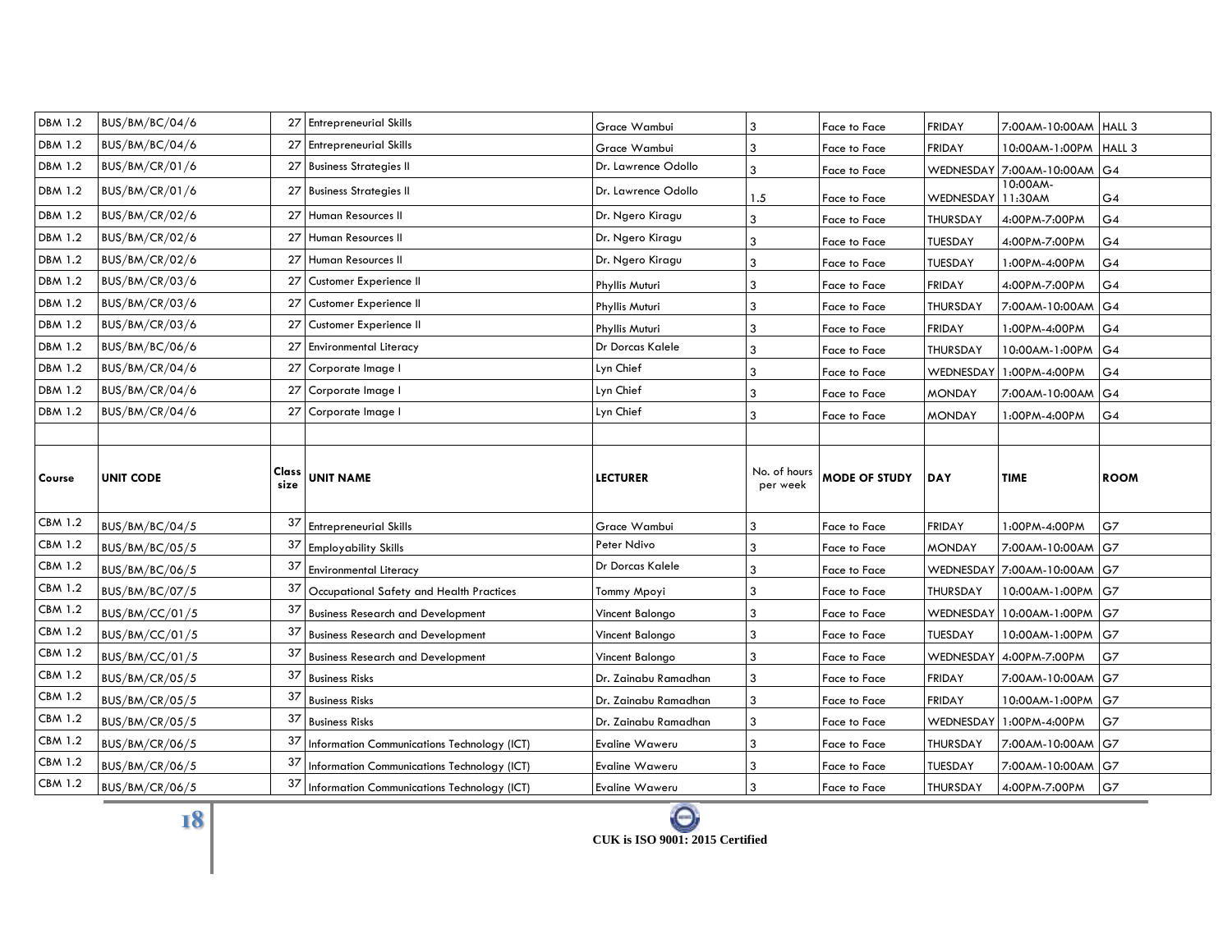| <b>DBM 1.2</b> | BUS/BM/BC/04/6        | 27            | <b>Entrepreneurial Skills</b>               | Grace Wambui         | $\mathbf{3}$             | Face to Face         | <b>FRIDAY</b>     | 7:00AM-10:00AM HALL 3       |                |
|----------------|-----------------------|---------------|---------------------------------------------|----------------------|--------------------------|----------------------|-------------------|-----------------------------|----------------|
| <b>DBM 1.2</b> | BUS/BM/BC/04/6        | 27            | <b>Entrepreneurial Skills</b>               | Grace Wambui         | 3                        | Face to Face         | <b>FRIDAY</b>     | 10:00AM-1:00PM HALL 3       |                |
| <b>DBM 1.2</b> | <b>BUS/BM/CR/01/6</b> | 27            | <b>Business Strategies II</b>               | Dr. Lawrence Odollo  | $\mathbf{3}$             | Face to Face         |                   | WEDNESDAY 7:00AM-10:00AM G4 |                |
| <b>DBM 1.2</b> | BUS/BM/CR/01/6        | 27            | <b>Business Strategies II</b>               | Dr. Lawrence Odollo  | 1.5                      | Face to Face         | WEDNESDAY 11:30AM | 10:00AM-                    | G4             |
| <b>DBM 1.2</b> | BUS/BM/CR/02/6        | 27            | Human Resources II                          | Dr. Ngero Kiragu     | 3                        | Face to Face         | THURSDAY          | 4:00PM-7:00PM               | G <sub>4</sub> |
| <b>DBM 1.2</b> | <b>BUS/BM/CR/02/6</b> | 27            | Human Resources II                          | Dr. Ngero Kiragu     | 3                        | Face to Face         | TUESDAY           | 4:00PM-7:00PM               | G <sub>4</sub> |
| <b>DBM 1.2</b> | BUS/BM/CR/02/6        | 27            | Human Resources II                          | Dr. Ngero Kiragu     | 3                        | Face to Face         | TUESDAY           | 1:00PM-4:00PM               | G4             |
| <b>DBM 1.2</b> | BUS/BM/CR/03/6        |               | 27 Customer Experience II                   | Phyllis Muturi       | 3                        | Face to Face         | <b>FRIDAY</b>     | 4:00PM-7:00PM               | G <sub>4</sub> |
| <b>DBM 1.2</b> | <b>BUS/BM/CR/03/6</b> | 27            | Customer Experience II                      | Phyllis Muturi       | 3                        | Face to Face         | THURSDAY          | 7:00AM-10:00AM G4           |                |
| <b>DBM 1.2</b> | BUS/BM/CR/03/6        | 27            | Customer Experience II                      | Phyllis Muturi       | 3                        | Face to Face         | <b>FRIDAY</b>     | 1:00PM-4:00PM               | G <sub>4</sub> |
| <b>DBM 1.2</b> | BUS/BM/BC/06/6        | 27            | <b>Environmental Literacy</b>               | Dr Dorcas Kalele     | $\overline{3}$           | Face to Face         | THURSDAY          | 10:00AM-1:00PM              | G4             |
| <b>DBM 1.2</b> | BUS/BM/CR/04/6        | 27            | Corporate Image I                           | Lyn Chief            | 3                        | Face to Face         | WEDNESDAY         | 1:00PM-4:00PM               | G <sub>4</sub> |
| <b>DBM 1.2</b> | <b>BUS/BM/CR/04/6</b> | 27            | Corporate Image I                           | Lyn Chief            | 3                        | Face to Face         | <b>MONDAY</b>     | 7:00AM-10:00AM G4           |                |
| <b>DBM 1.2</b> | BUS/BM/CR/04/6        | 27            | Corporate Image I                           | Lyn Chief            | 3                        | Face to Face         | MONDAY            | 1:00PM-4:00PM               | G <sub>4</sub> |
|                |                       |               |                                             |                      |                          |                      |                   |                             |                |
|                |                       |               |                                             |                      |                          |                      |                   |                             |                |
| Course         | <b>UNIT CODE</b>      | Class<br>size | <b>UNIT NAME</b>                            | <b>LECTURER</b>      | No. of hours<br>per week | <b>MODE OF STUDY</b> | <b>DAY</b>        | <b>TIME</b>                 | <b>ROOM</b>    |
| <b>CBM 1.2</b> | BUS/BM/BC/04/5        | 37            | <b>Entrepreneurial Skills</b>               | Grace Wambui         | 3                        | Face to Face         | <b>FRIDAY</b>     | 1:00PM-4:00PM               | G7             |
| <b>CBM 1.2</b> | BUS/BM/BC/05/5        | 37            | <b>Employability Skills</b>                 | Peter Ndivo          | 3                        | Face to Face         | MONDAY            | 7:00AM-10:00AM G7           |                |
| <b>CBM 1.2</b> | BUS/BM/BC/06/5        | 37            | <b>Environmental Literacy</b>               | Dr Dorcas Kalele     | 3                        | Face to Face         |                   | WEDNESDAY 7:00AM-10:00AM G7 |                |
| <b>CBM 1.2</b> | BUS/BM/BC/07/5        | 37            | Occupational Safety and Health Practices    | Tommy Mpoyi          | 3                        | Face to Face         | THURSDAY          | 10:00AM-1:00PM G7           |                |
| <b>CBM 1.2</b> | BUS/BM/CC/01/5        | 37            | <b>Business Research and Development</b>    | Vincent Balongo      | 3                        | Face to Face         | WEDNESDAY         | 10:00AM-1:00PM              | IG7            |
| <b>CBM 1.2</b> | <b>BUS/BM/CC/01/5</b> | 37            | <b>Business Research and Development</b>    | Vincent Balongo      | 3                        | Face to Face         | TUESDAY           | 10:00AM-1:00PM              | G7             |
| <b>CBM 1.2</b> | BUS/BM/CC/01/5        | 37            | <b>Business Research and Development</b>    | Vincent Balongo      | 3                        | Face to Face         |                   | WEDNESDAY 4:00PM-7:00PM     | G7             |
| <b>CBM 1.2</b> | BUS/BM/CR/05/5        | 37            | <b>Business Risks</b>                       | Dr. Zainabu Ramadhan | 3                        | Face to Face         | <b>FRIDAY</b>     | 7:00AM-10:00AM G7           |                |
| <b>CBM 1.2</b> | <b>BUS/BM/CR/05/5</b> | 37            | <b>Business Risks</b>                       | Dr. Zainabu Ramadhan | 3                        | Face to Face         | <b>FRIDAY</b>     | 10:00AM-1:00PM G7           |                |
| <b>CBM 1.2</b> | BUS/BM/CR/05/5        | 37            | <b>Business Risks</b>                       | Dr. Zainabu Ramadhan | 3                        | Face to Face         |                   | WEDNESDAY 1:00PM-4:00PM     | G7             |
| <b>CBM 1.2</b> | <b>BUS/BM/CR/06/5</b> | 37            | Information Communications Technology (ICT) | Evaline Waweru       | $\mathbf{3}$             | Face to Face         | THURSDAY          | 7:00AM-10:00AM G7           |                |
| <b>CBM 1.2</b> | <b>BUS/BM/CR/06/5</b> | 37            | Information Communications Technology (ICT) | Evaline Waweru       | 3                        | Face to Face         | TUESDAY           | 7:00AM-10:00AM G7           |                |